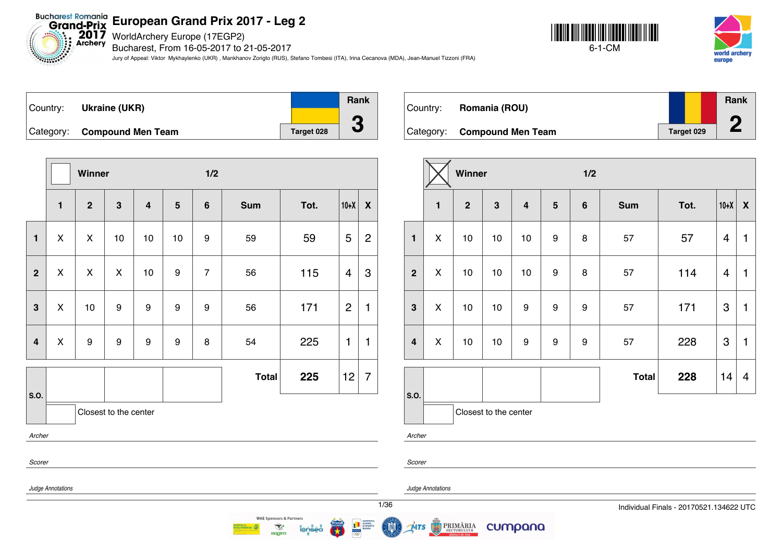WorldArchery Europe (17EGP2)

Bucharest, From 16-05-2017 to 21-05-2017

Jury of Appeal: Viktor Mykhaylenko (UKR) , Mankhanov Zorigto (RUS), Stefano Tombesi (ITA), Irina Cecanova (MDA), Jean-Manuel Tizzoni (FRA)





| ∣Country: | <b>Ukraine (UKR)</b>        |            | Rank |
|-----------|-----------------------------|------------|------|
|           | Category: Compound Men Team | Target 028 |      |
|           |                             |            |      |

|                         |                   | Winner       |                       |                         |                 | 1/2            |              |      |                |                  |  |
|-------------------------|-------------------|--------------|-----------------------|-------------------------|-----------------|----------------|--------------|------|----------------|------------------|--|
|                         | $\mathbf{1}$      | $\mathbf{2}$ | $\mathbf 3$           | $\overline{\mathbf{4}}$ | $5\phantom{.0}$ | $\bf 6$        | <b>Sum</b>   | Tot. | $10+X$         | $\boldsymbol{X}$ |  |
| $\mathbf{1}$            | X                 | X            | 10                    | 10                      | 10              | 9              | 59           | 59   | 5              | $\overline{c}$   |  |
| $\overline{2}$          | X                 | X            | X                     | 10                      | 9               | $\overline{7}$ | 56           | 115  | $\overline{4}$ | 3                |  |
| $\mathbf{3}$            | X                 | 10           | 9                     | 9                       | 9               | 9              | 56           | 171  | $\overline{2}$ | 1                |  |
| $\overline{\mathbf{4}}$ | X                 | 9            | 9                     | 9                       | 9               | 8              | 54           | 225  | 1              | 1                |  |
|                         |                   |              |                       |                         |                 |                | <b>Total</b> | 225  | 12             | $\overline{7}$   |  |
| S.O.                    |                   |              | Closest to the center |                         |                 |                |              |      |                |                  |  |
| Archer                  |                   |              |                       |                         |                 |                |              |      |                |                  |  |
| Scorer                  |                   |              |                       |                         |                 |                |              |      |                |                  |  |
|                         | Judge Annotations |              |                       |                         |                 |                |              |      |                |                  |  |

| Country: | Romania (ROU)               |            | Rank<br>m |
|----------|-----------------------------|------------|-----------|
|          | Category: Compound Men Team | Target 029 |           |

|                         |              | Winner       |                       |                         |                  | 1/2     |              |      |        |                    |  |
|-------------------------|--------------|--------------|-----------------------|-------------------------|------------------|---------|--------------|------|--------|--------------------|--|
|                         | $\mathbf{1}$ | $\mathbf{2}$ | 3                     | $\overline{\mathbf{4}}$ | $5\phantom{1}$   | $\bf 6$ | <b>Sum</b>   | Tot. | $10+X$ | $\pmb{\mathsf{X}}$ |  |
| $\mathbf{1}$            | X            | 10           | 10                    | 10                      | $\boldsymbol{9}$ | 8       | 57           | 57   | 4      | $\mathbf{1}$       |  |
| $\overline{2}$          | X            | 10           | 10                    | 10                      | $\boldsymbol{9}$ | 8       | 57           | 114  | 4      | $\mathbf{1}$       |  |
| $\mathbf{3}$            | X            | 10           | 10                    | 9                       | $\boldsymbol{9}$ | 9       | 57           | 171  | 3      | $\mathbf{1}$       |  |
| $\overline{\mathbf{4}}$ | X            | 10           | 10                    | 9                       | 9                | 9       | 57           | 228  | 3      | $\mathbf{1}$       |  |
|                         |              |              |                       |                         |                  |         | <b>Total</b> | 228  | 14     | $\overline{4}$     |  |
| S.O.                    |              |              | Closest to the center |                         |                  |         |              |      |        |                    |  |

*Archer*

*Scorer*

*Judge Annotations*

*Judge Annotations*

MTS

PRIMĂRIA

cumpana



**WAE Sponsors & Partners** 

 $\mathcal{R}$ 

**Ragim**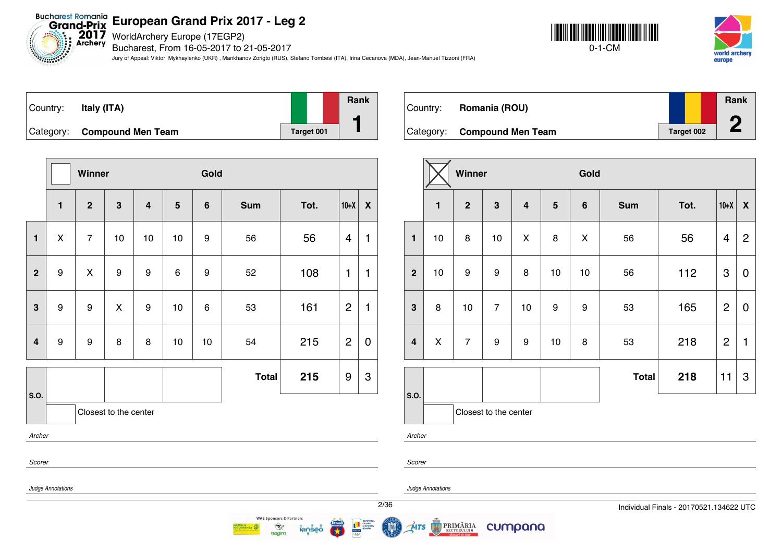WorldArchery Europe (17EGP2)

Bucharest, From 16-05-2017 to 21-05-2017

Jury of Appeal: Viktor Mykhaylenko (UKR) , Mankhanov Zorigto (RUS), Stefano Tombesi (ITA), Irina Cecanova (MDA), Jean-Manuel Tizzoni (FRA)





| Country: | Italy (ITA)                 |            | <b>Rank</b> |
|----------|-----------------------------|------------|-------------|
|          | Category: Compound Men Team | Target 001 |             |

|                |                   | Winner           |                       |                         |                | Gold           |              |      |                |                    |
|----------------|-------------------|------------------|-----------------------|-------------------------|----------------|----------------|--------------|------|----------------|--------------------|
|                | $\mathbf{1}$      | $\overline{2}$   | 3                     | $\overline{\mathbf{4}}$ | $5\phantom{1}$ | $6\phantom{1}$ | <b>Sum</b>   | Tot. | $10+X$         | $\pmb{\mathsf{X}}$ |
| $\mathbf{1}$   | X                 | $\overline{7}$   | 10                    | 10                      | 10             | 9              | 56           | 56   | $\overline{4}$ | 1                  |
| $\overline{2}$ | $\boldsymbol{9}$  | $\pmb{\times}$   | 9                     | 9                       | 6              | 9              | 52           | 108  | 1              | 1                  |
| 3              | $\boldsymbol{9}$  | $\boldsymbol{9}$ | X                     | 9                       | 10             | 6              | 53           | 161  | $\overline{2}$ | $\mathbf{1}$       |
| $\overline{4}$ | $\boldsymbol{9}$  | 9                | 8                     | 8                       | 10             | 10             | 54           | 215  | $\overline{2}$ | $\mathbf 0$        |
|                |                   |                  |                       |                         |                |                | <b>Total</b> | 215  | 9              | 3                  |
| S.O.           |                   |                  | Closest to the center |                         |                |                |              |      |                |                    |
| Archer         |                   |                  |                       |                         |                |                |              |      |                |                    |
| Scorer         |                   |                  |                       |                         |                |                |              |      |                |                    |
|                | Judge Annotations |                  |                       |                         |                |                |              |      |                |                    |

| Country: | Romania (ROU)               |            | Rank<br>A |
|----------|-----------------------------|------------|-----------|
|          | Category: Compound Men Team | Target 002 |           |

|                         |              | Winner         |                         |                         |                |                    |              |      |                           |                    |
|-------------------------|--------------|----------------|-------------------------|-------------------------|----------------|--------------------|--------------|------|---------------------------|--------------------|
|                         | $\mathbf{1}$ | $\mathbf{2}$   | $\overline{\mathbf{3}}$ | $\overline{\mathbf{4}}$ | $5\phantom{1}$ | $\bf 6$            | <b>Sum</b>   | Tot. | $10+X$                    | $\pmb{\mathsf{X}}$ |
| $\mathbf{1}$            | 10           | 8              | 10                      | X                       | 8              | $\pmb{\mathsf{X}}$ | 56           | 56   | 4                         | $\overline{2}$     |
| $\overline{2}$          | 10           | 9              | 9                       | 8                       | 10             | 10                 | 56           | 112  | $\ensuremath{\mathsf{3}}$ | $\mathbf 0$        |
| $\mathbf{3}$            | 8            | 10             | $\overline{7}$          | 10                      | 9              | 9                  | 53           | 165  | $\overline{2}$            | $\mathbf 0$        |
| $\overline{\mathbf{4}}$ | X            | $\overline{7}$ | $\boldsymbol{9}$        | $\boldsymbol{9}$        | 10             | 8                  | 53           | 218  | $\overline{2}$            | 1                  |
|                         |              |                |                         |                         |                |                    | <b>Total</b> | 218  | 11                        | 3                  |
| S.O.                    |              |                | Closest to the center   |                         |                |                    |              |      |                           |                    |

*Archer*

*Judge Annotations*

**PRIMĂRIA** 

cumpana



MTS

*Scorer*

2/36 Individual Finals - 20170521.134622 UTC



 $\mathcal{R}$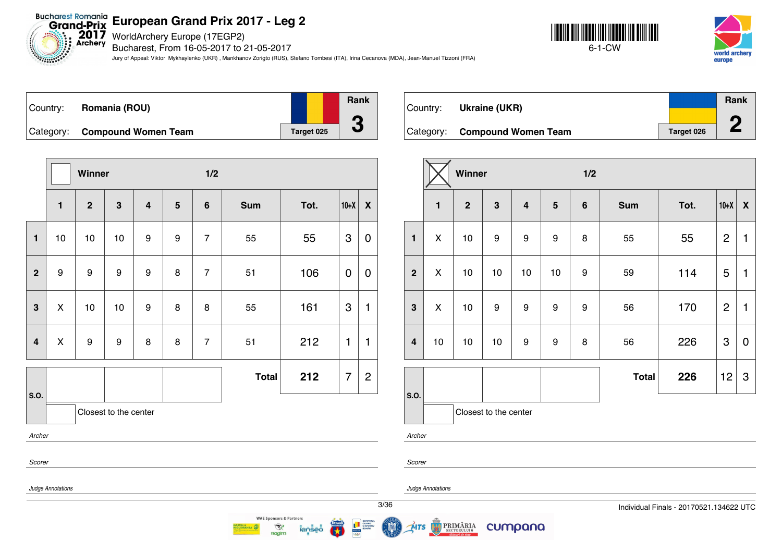Bucharest Romania<br>Grand-Prix European Grand Prix 20<br>Exchery Bucharest. From 16-05-2017 to 2

Bucharest, From 16-05-2017 to 21-05-2017

Jury of Appeal: Viktor Mykhaylenko (UKR) , Mankhanov Zorigto (RUS), Stefano Tombesi (ITA), Irina Cecanova (MDA), Jean-Manuel Tizzoni (FRA)





| Country: | Romania (ROU)                 |            | <b>Rank</b> |
|----------|-------------------------------|------------|-------------|
|          |                               |            | A           |
|          | Category: Compound Women Team | Target 025 | u           |

|                         |                                                           | Winner           |                       |                         |                |                |              |      |        |                  |
|-------------------------|-----------------------------------------------------------|------------------|-----------------------|-------------------------|----------------|----------------|--------------|------|--------|------------------|
|                         | $\mathbf{1}$                                              | $\overline{2}$   | $\mathbf{3}$          | $\overline{\mathbf{4}}$ | $5\phantom{1}$ | $6\phantom{a}$ | <b>Sum</b>   | Tot. | $10+X$ | $\boldsymbol{X}$ |
| $\mathbf{1}$            | 10                                                        | 10               | $10$                  | 9                       | 9              | $\overline{7}$ | 55           | 55   | 3      | 0                |
| $\mathbf{2}$            | 9                                                         | $\boldsymbol{9}$ | $\boldsymbol{9}$      | $\boldsymbol{9}$        | 8              | $\overline{7}$ | 51           | 106  | 0      | 0                |
| $\mathbf{3}$            | $\pmb{\mathsf{X}}$                                        | 10               | $10$                  | $\boldsymbol{9}$        | 8              | 8              | 55           | 161  | 3      | 1                |
| $\overline{\mathbf{4}}$ | X                                                         | 9                | 9                     | 8                       | 8              | $\overline{7}$ | 51           | 212  | 1      | 1                |
|                         |                                                           |                  |                       |                         |                |                | <b>Total</b> | 212  | 7      | $\overline{c}$   |
| S.O.                    |                                                           |                  | Closest to the center |                         |                |                |              |      |        |                  |
| Archer                  |                                                           |                  |                       |                         |                |                |              |      |        |                  |
| Scorer                  |                                                           |                  |                       |                         |                |                |              |      |        |                  |
|                         | $\mathbf{r}$ , $\mathbf{r}$ , $\mathbf{r}$ , $\mathbf{r}$ |                  |                       |                         |                |                |              |      |        |                  |

**WAE Sponsors & Partners** 

 $\mathcal{R}$ 

**Ragim** 

| Country: | Ukraine (UKR)                 |            | <b>Rank</b> |
|----------|-------------------------------|------------|-------------|
|          |                               |            | ◚           |
|          | Category: Compound Women Team | Target 026 | z.          |

|                |              | Winner         |                       |                         |         | 1/2     |              |      |                |                           |
|----------------|--------------|----------------|-----------------------|-------------------------|---------|---------|--------------|------|----------------|---------------------------|
|                | $\mathbf{1}$ | $\overline{2}$ | $\mathbf{3}$          | $\overline{\mathbf{4}}$ | $\bf 5$ | $\bf 6$ | <b>Sum</b>   | Tot. | $10+X$         | X                         |
| $\mathbf{1}$   | X            | 10             | 9                     | 9                       | 9       | 8       | 55           | 55   | $\overline{2}$ | 1                         |
| $\overline{2}$ | X            | 10             | 10                    | 10                      | 10      | 9       | 59           | 114  | 5              | 1                         |
| $\mathbf{3}$   | X            | 10             | 9                     | 9                       | 9       | 9       | 56           | 170  | $\overline{2}$ | 1                         |
| $\overline{4}$ | 10           | 10             | 10                    | 9                       | 9       | 8       | 56           | 226  | 3              | $\mathbf 0$               |
|                |              |                |                       |                         |         |         | <b>Total</b> | 226  | 12             | $\ensuremath{\mathsf{3}}$ |
| S.O.           |              |                | Closest to the center |                         |         |         |              |      |                |                           |

*Archer*

*Scorer*

*Judge Annotations*

*Judge Annotations*

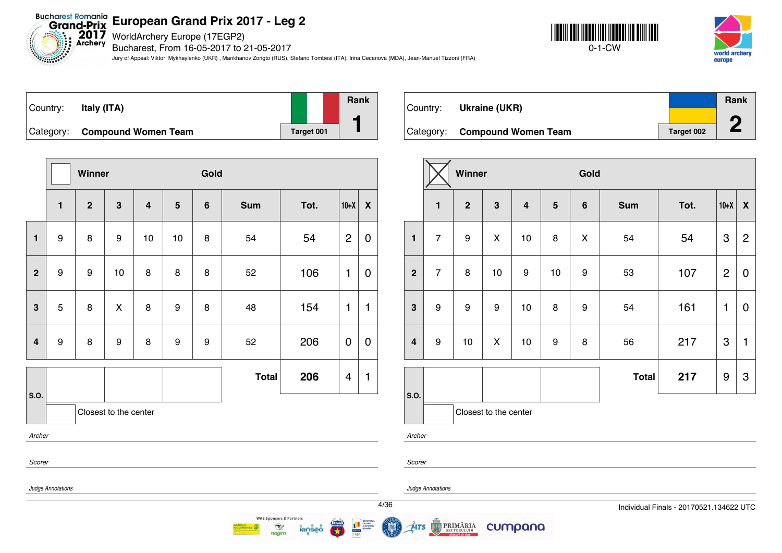Bucharest Romania<br>Grand-Prix European Grand Prix 20<br>Archery Bucharchery Europe (17EGP2)

Bucharest, From 16-05-2017 to 21-05-2017

Jury of Appeal: Viktor Mykhaylenko (UKR) , Mankhanov Zorigto (RUS), Stefano Tombesi (ITA), Irina Cecanova (MDA), Jean-Manuel Tizzoni (FRA)





| Country: | Italy (ITA)                   |            | <b>Rank</b> |
|----------|-------------------------------|------------|-------------|
|          | Category: Compound Women Team | Target 001 |             |

|                |                   | Winner           |                       |                         |                | Gold           |              |      |                |              |
|----------------|-------------------|------------------|-----------------------|-------------------------|----------------|----------------|--------------|------|----------------|--------------|
|                | $\mathbf{1}$      | $\mathbf{2}$     | $\mathbf{3}$          | $\overline{\mathbf{4}}$ | $5\phantom{1}$ | $6\phantom{1}$ | <b>Sum</b>   | Tot. | $10+X$         | X            |
| $\mathbf{1}$   | 9                 | 8                | 9                     | 10                      | 10             | 8              | 54           | 54   | $\overline{c}$ | 0            |
| $\overline{2}$ | 9                 | $\boldsymbol{9}$ | 10                    | 8                       | 8              | 8              | 52           | 106  | 1              | 0            |
| 3              | 5                 | 8                | $\mathsf{x}$          | 8                       | 9              | 8              | 48           | 154  | 1              | $\mathbf{1}$ |
| $\overline{4}$ | 9                 | 8                | $\boldsymbol{9}$      | 8                       | 9              | 9              | 52           | 206  | $\mathbf 0$    | 0            |
|                |                   |                  |                       |                         |                |                | <b>Total</b> | 206  | $\overline{4}$ | $\mathbf{1}$ |
| S.O.           |                   |                  | Closest to the center |                         |                |                |              |      |                |              |
| Archer         |                   |                  |                       |                         |                |                |              |      |                |              |
| Scorer         |                   |                  |                       |                         |                |                |              |      |                |              |
|                | Judge Annotations |                  |                       |                         |                |                |              |      |                |              |



|                         |                  | Winner         |                       |                         |                  | Gold             |              |      |                |                           |
|-------------------------|------------------|----------------|-----------------------|-------------------------|------------------|------------------|--------------|------|----------------|---------------------------|
|                         | $\mathbf{1}$     | $\overline{2}$ | $\mathbf{3}$          | $\overline{\mathbf{4}}$ | $5\phantom{1}$   | $\bf 6$          | <b>Sum</b>   | Tot. | $10+X$         | $\boldsymbol{\mathsf{X}}$ |
| $\mathbf{1}$            | $\overline{7}$   | 9              | X                     | 10                      | 8                | X                | 54           | 54   | 3              | $\overline{2}$            |
| $\overline{2}$          | $\overline{7}$   | 8              | 10                    | 9                       | 10               | 9                | 53           | 107  | $\overline{2}$ | $\mathbf 0$               |
| $\mathbf{3}$            | 9                | 9              | 9                     | 10                      | 8                | $\boldsymbol{9}$ | 54           | 161  | 1              | $\mathbf 0$               |
| $\overline{\mathbf{4}}$ | $\boldsymbol{9}$ | 10             | X                     | 10                      | $\boldsymbol{9}$ | 8                | 56           | 217  | 3              | $\mathbf{1}$              |
|                         |                  |                |                       |                         |                  |                  | <b>Total</b> | 217  | 9              | $\ensuremath{\mathsf{3}}$ |
| S.O.                    |                  |                | Closest to the center |                         |                  |                  |              |      |                |                           |

*Archer*

*Scorer*

*Judge Annotations*

ŃTS

PRIMĂRIA



**WAE Sponsors & Partners** 

 $\mathcal{R}$ **Ragim**  cumpana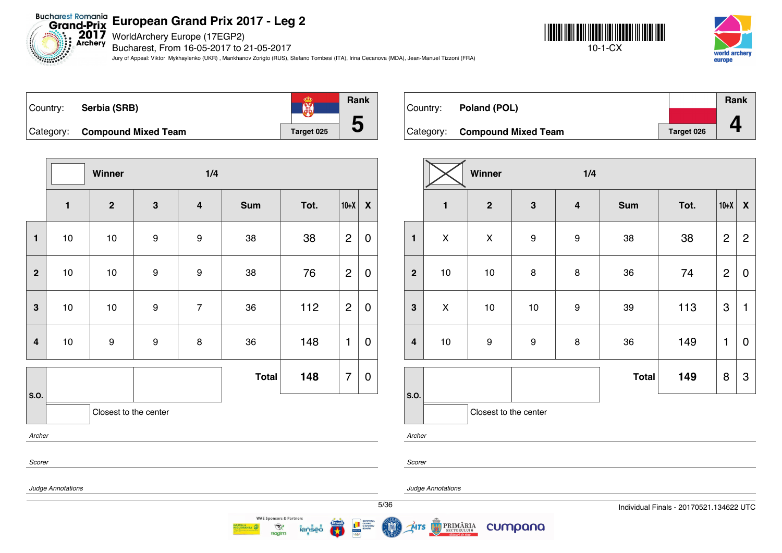Bucharest Romania<br>Grand-Prix European Grand Prix 20<br>Exchery Bucharest. From 16-05-2017 to 2

Bucharest, From 16-05-2017 to 21-05-2017

Jury of Appeal: Viktor Mykhaylenko (UKR) , Mankhanov Zorigto (RUS), Stefano Tombesi (ITA), Irina Cecanova (MDA), Jean-Manuel Tizzoni (FRA)





| Country: | Serbia (SRB)                  |            | Rank |
|----------|-------------------------------|------------|------|
|          | Category: Compound Mixed Team | Target 025 |      |

|                |              | Winner                |                  | 1/4                     |              |      |                |                           |
|----------------|--------------|-----------------------|------------------|-------------------------|--------------|------|----------------|---------------------------|
|                | $\mathbf{1}$ | $\mathbf{2}$          | 3                | $\overline{\mathbf{4}}$ | <b>Sum</b>   | Tot. | $10+X$         | $\boldsymbol{\mathsf{X}}$ |
| $\mathbf{1}$   | 10           | $10$                  | $\boldsymbol{9}$ | 9                       | 38           | 38   | $\overline{2}$ | $\boldsymbol{0}$          |
| $\mathbf{2}$   | 10           | $10$                  | $\boldsymbol{9}$ | 9                       | 38           | 76   | $\overline{2}$ | $\boldsymbol{0}$          |
| $\mathbf{3}$   | $10$         | $10$                  | $\boldsymbol{9}$ | $\overline{7}$          | 36           | 112  | $\overline{2}$ | $\mathbf 0$               |
| $\overline{4}$ | $10$         | 9                     | $\boldsymbol{9}$ | 8                       | 36           | 148  | 1              | $\overline{0}$            |
|                |              |                       |                  |                         | <b>Total</b> | 148  | $\overline{7}$ | $\pmb{0}$                 |
| S.O.           |              | Closest to the center |                  |                         |              |      |                |                           |
| Archer         |              |                       |                  |                         |              |      |                |                           |
| Scorer         |              |                       |                  |                         |              |      |                |                           |

| Country: | Poland (POL)                  |                   | Rank |
|----------|-------------------------------|-------------------|------|
|          |                               |                   |      |
|          | Category: Compound Mixed Team | <b>Target 026</b> |      |

|                  |                    | Winner                |                  | 1/4                     |              |      |                           |                |
|------------------|--------------------|-----------------------|------------------|-------------------------|--------------|------|---------------------------|----------------|
|                  | $\mathbf{1}$       | $\mathbf{2}$          | 3                | $\overline{\mathbf{4}}$ | <b>Sum</b>   | Tot. | $10+X$                    | X              |
| $\mathbf{1}$     | $\pmb{\mathsf{X}}$ | $\pmb{\mathsf{X}}$    | 9                | $\boldsymbol{9}$        | 38           | 38   | $\overline{c}$            | $\overline{2}$ |
| $\overline{2}$   | $10$               | 10                    | 8                | 8                       | 36           | 74   | $\overline{2}$            | $\mathbf 0$    |
| $\mathbf{3}$     | $\pmb{\mathsf{X}}$ | 10                    | $10$             | $\boldsymbol{9}$        | 39           | 113  | $\ensuremath{\mathsf{3}}$ | 1              |
| $\boldsymbol{4}$ | $10$               | 9                     | $\boldsymbol{9}$ | 8                       | 36           | 149  | 1                         | $\overline{0}$ |
|                  |                    |                       |                  |                         | <b>Total</b> | 149  | 8                         | 3              |
| S.O.             |                    | Closest to the center |                  |                         |              |      |                           |                |

*Archer*

*Scorer*

MTS

*Judge Annotations*

*Judge Annotations*

**PRIMĂRIA** 

cumpana



**WAE Sponsors & Partners** 

 $\mathcal{R}$ 

**Ragim**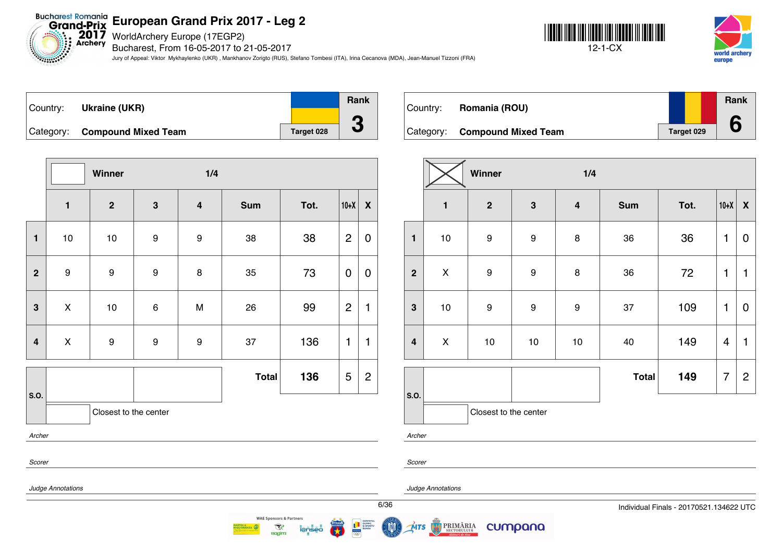**Bucharest Romania**<br>Grand-Prix **European Grand Prix 2017 - Leg 2**

 $2017$ WorldArchery Europe (17EGP2) Archery

Bucharest, From 16-05-2017 to 21-05-2017

Jury of Appeal: Viktor Mykhaylenko (UKR) , Mankhanov Zorigto (RUS), Stefano Tombesi (ITA), Irina Cecanova (MDA), Jean-Manuel Tizzoni (FRA)





| ∣Country: | <b>Ukraine (UKR)</b>          |            | <b>Rank</b> |
|-----------|-------------------------------|------------|-------------|
|           |                               |            |             |
|           | Category: Compound Mixed Team | Target 028 |             |

**Winner 1/4 1 2 3 4 Sum Tot. 10+X X 1** | 10 | 10 | 9 | 9 | 38 | 38 |2 |0 **2** | 9 | 9 | 8 | 35 | 73 |<code>O|O</code> **3** | X | 10 | 6 | M | 26 | 99 |2|1 **4** | X | 9 | 9 | 9 | 37 | 136 |1 |1 **S.O. Total 136**  $|5|2$ Closest to the center *Archer Scorer*

Country: **Romania (ROU)** Category: **Compound Mixed Team Target 029 Rank 6**

|                         |              | Winner                |                  | 1/4                     |              |      |                |                  |
|-------------------------|--------------|-----------------------|------------------|-------------------------|--------------|------|----------------|------------------|
|                         | $\mathbf{1}$ | $\mathbf{2}$          | $\mathbf{3}$     | $\overline{\mathbf{4}}$ | <b>Sum</b>   | Tot. | $10+X$         | $\boldsymbol{X}$ |
| $\mathbf{1}$            | $10$         | $\boldsymbol{9}$      | $\boldsymbol{9}$ | $\bf8$                  | 36           | 36   | 1              | 0                |
| $\overline{2}$          | X            | $\boldsymbol{9}$      | $\boldsymbol{9}$ | 8                       | 36           | 72   | 1              | 1                |
| $\mathbf{3}$            | $10$         | $\boldsymbol{9}$      | $\boldsymbol{9}$ | $\boldsymbol{9}$        | 37           | 109  | 1              | 0                |
| $\overline{\mathbf{4}}$ | X            | 10                    | 10               | 10                      | 40           | 149  | $\overline{4}$ | 1                |
|                         |              |                       |                  |                         | <b>Total</b> | 149  | 7              | $\overline{2}$   |
| S.O.                    |              | Closest to the center |                  |                         |              |      |                |                  |

*Archer*

*Scorer*

MTS

*Judge Annotations*

*Judge Annotations*

PRIMĂRIA

cumpana



**WAE Sponsors & Partners** 

 $\mathcal{R}$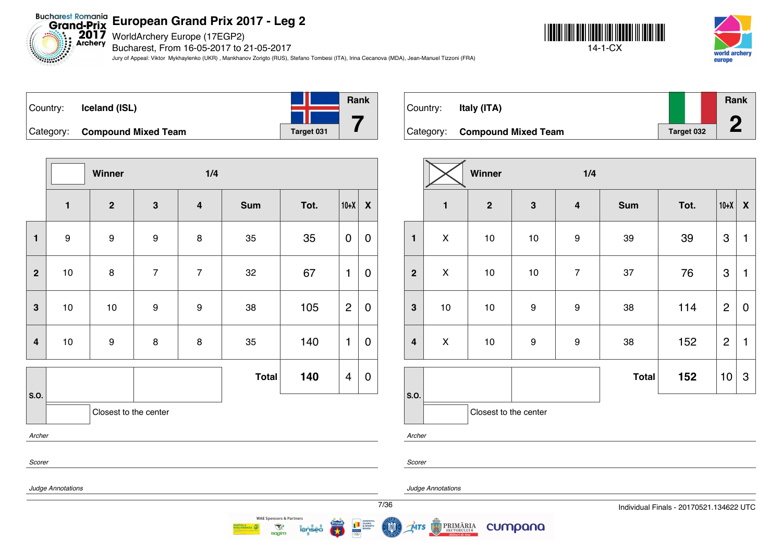**2017** WorldArchery Europe (17EGP2)

Bucharest, From 16-05-2017 to 21-05-2017

Jury of Appeal: Viktor Mykhaylenko (UKR) , Mankhanov Zorigto (RUS), Stefano Tombesi (ITA), Irina Cecanova (MDA), Jean-Manuel Tizzoni (FRA)





| Country: | Iceland (ISL)                 |            | Rank |
|----------|-------------------------------|------------|------|
|          |                               |            |      |
|          | Category: Compound Mixed Team | Target 031 |      |

**Winner 1/4 1 2 3 4 Sum Tot. 10+X X 1** | 9 | 9 | 8 | 35 | 35 | 0 | 0 **2** | 10 | 8 | 7 | 7 | 32 | 67 |1 | 0 **3** | 10 | 10 | 9 | 9 | 38 | 105 |2|0 **4** | 10 | 9 | 8 | 8 | 35 | 140 |1 | 0 **S.O. Total 140**  $|4|0$ Closest to the center *Archer Scorer*

| Country: | Italy (ITA)                   |            | <b>Rank</b> |
|----------|-------------------------------|------------|-------------|
|          | Category: Compound Mixed Team | Target 032 |             |

|                  |                    | Winner                |              | 1/4                     |              |      |                |                  |
|------------------|--------------------|-----------------------|--------------|-------------------------|--------------|------|----------------|------------------|
|                  | $\mathbf{1}$       | $\mathbf{2}$          | $\mathbf{3}$ | $\overline{\mathbf{4}}$ | <b>Sum</b>   | Tot. | $10+X$         | $\boldsymbol{X}$ |
| $\mathbf{1}$     | $\pmb{\mathsf{X}}$ | $10$                  | $10$         | $\boldsymbol{9}$        | 39           | 39   | 3              | 1                |
| $\overline{2}$   | $\pmb{\mathsf{X}}$ | $10$                  | $10$         | $\overline{7}$          | 37           | 76   | 3              | 1                |
| $\mathbf{3}$     | $10$               | $10$                  | 9            | $\boldsymbol{9}$        | 38           | 114  | $\overline{2}$ | 0                |
| $\boldsymbol{4}$ | $\pmb{\mathsf{X}}$ | $10$                  | 9            | $\boldsymbol{9}$        | 38           | 152  | $\overline{2}$ | 1                |
|                  |                    |                       |              |                         | <b>Total</b> | 152  | 10             | 3                |
| S.O.             |                    | Closest to the center |              |                         |              |      |                |                  |

*Archer*

*Scorer*

**MTS** 

*Judge Annotations*

PRIMĂRIA

cumpana

*Judge Annotations*

**WAE Sponsors & Partners**  $\mathcal{R}$ **Ragim**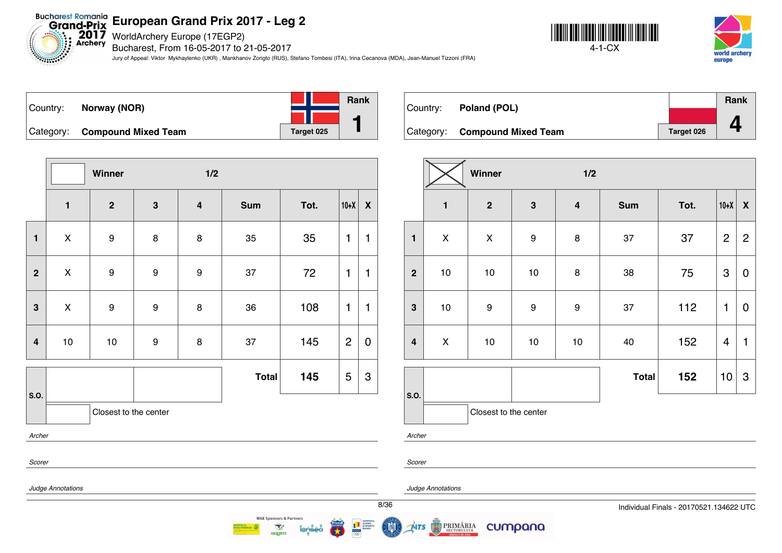Bucharest Romania<br>Grand-Prix European Grand Prix 20<br>Exchery Bucharest. From 16-05-2017 to 2

Bucharest, From 16-05-2017 to 21-05-2017

Jury of Appeal: Viktor Mykhaylenko (UKR) , Mankhanov Zorigto (RUS), Stefano Tombesi (ITA), Irina Cecanova (MDA), Jean-Manuel Tizzoni (FRA)





| Country: | Norway (NOR)                  |            | Rank |
|----------|-------------------------------|------------|------|
|          |                               |            |      |
|          | Category: Compound Mixed Team | Target 025 |      |

|                         |              | Winner                |              | 1/2                     |              |      |                |                  |
|-------------------------|--------------|-----------------------|--------------|-------------------------|--------------|------|----------------|------------------|
|                         | $\mathbf{1}$ | $\boldsymbol{2}$      | $\mathbf{3}$ | $\overline{\mathbf{4}}$ | <b>Sum</b>   | Tot. | $10+X$         | $\boldsymbol{X}$ |
| $\mathbf{1}$            | X            | 9                     | 8            | 8                       | 35           | 35   | 1              | $\mathbf{1}$     |
| $\overline{2}$          | X            | 9                     | 9            | 9                       | 37           | 72   | 1              | $\mathbf{1}$     |
| $\overline{\mathbf{3}}$ | X            | 9                     | 9            | 8                       | 36           | 108  | 1              | $\mathbf{1}$     |
| 4                       | $10$         | 10                    | 9            | 8                       | 37           | 145  | $\overline{2}$ | $\pmb{0}$        |
|                         |              |                       |              |                         | <b>Total</b> | 145  | 5              | 3                |
| S.O.                    |              | Closest to the center |              |                         |              |      |                |                  |
| Archer                  |              |                       |              |                         |              |      |                |                  |
| Scorer                  |              |                       |              |                         |              |      |                |                  |

**WAE Sponsors & Partners** 

 $\mathcal{R}$ 

**Ragim** 

| Country: | Poland (POL)                  |                   | Rank |
|----------|-------------------------------|-------------------|------|
|          |                               |                   |      |
|          | Category: Compound Mixed Team | <b>Target 026</b> |      |

|                         |                | Winner                |                  | 1/2                     |              |      |                           |                  |  |
|-------------------------|----------------|-----------------------|------------------|-------------------------|--------------|------|---------------------------|------------------|--|
|                         | $\mathbf{1}$   | $\mathbf{2}$          | $\mathbf{3}$     | $\overline{\mathbf{4}}$ | <b>Sum</b>   | Tot. | $10+X$                    | $\boldsymbol{X}$ |  |
| $\mathbf{1}$            | $\pmb{\times}$ | $\pmb{\mathsf{X}}$    | $\boldsymbol{9}$ | $\bf 8$                 | 37           | 37   | $\overline{2}$            | $\overline{2}$   |  |
| $\overline{2}$          | $10$           | 10                    | $10$             | 8                       | 38           | 75   | $\ensuremath{\mathsf{3}}$ | 0                |  |
| $\mathbf{3}$            | 10             | 9                     | 9                | $\boldsymbol{9}$        | 37           | 112  | 1                         | $\mathbf 0$      |  |
| $\overline{\mathbf{4}}$ | $\mathsf{X}$   | $10$                  | $10$             | 10                      | 40           | 152  | 4                         | $\mathbf{1}$     |  |
|                         |                |                       |                  |                         | <b>Total</b> | 152  | 10                        | 3                |  |
| S.O.                    |                | Closest to the center |                  |                         |              |      |                           |                  |  |

*Archer*

*Scorer*

*Judge Annotations*

*Judge Annotations*

**PRIMĂRIA** 

cumpana

MTS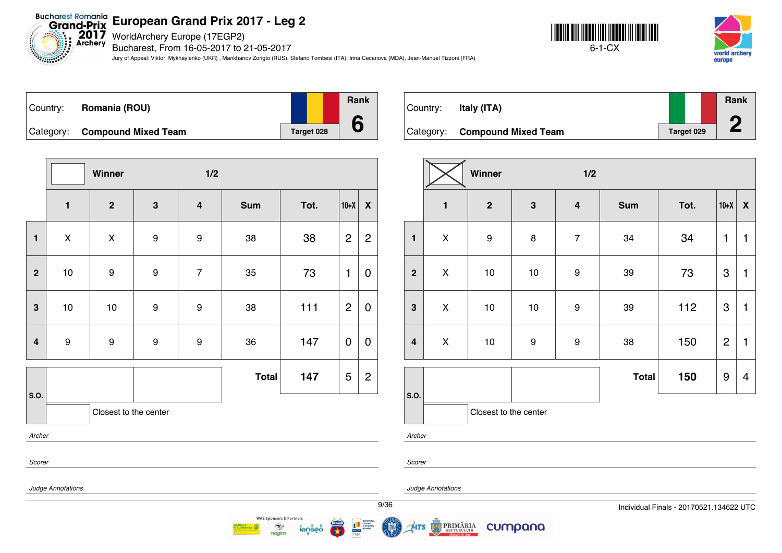Bucharest Romania<br>Grand-Prix European Grand Prix 20<br>Exchery Bucharest. From 16-05-2017 to 2

Bucharest, From 16-05-2017 to 21-05-2017

Jury of Appeal: Viktor Mykhaylenko (UKR) , Mankhanov Zorigto (RUS), Stefano Tombesi (ITA), Irina Cecanova (MDA), Jean-Manuel Tizzoni (FRA)





| ∣Country: | Romania (ROU)                 |            | <b>Rank</b> |
|-----------|-------------------------------|------------|-------------|
|           |                               |            |             |
|           | Category: Compound Mixed Team | Target 028 |             |

|                         |                | Winner                |                  | 1/2                     |              |      |                |                           |
|-------------------------|----------------|-----------------------|------------------|-------------------------|--------------|------|----------------|---------------------------|
|                         | $\mathbf{1}$   | $\mathbf{2}$          | $\mathbf{3}$     | $\overline{\mathbf{4}}$ | <b>Sum</b>   | Tot. | $10+X$         | $\boldsymbol{\mathsf{X}}$ |
| $\mathbf{1}$            | $\pmb{\times}$ | $\pmb{\times}$        | 9                | $\boldsymbol{9}$        | 38           | 38   | $\overline{c}$ | $\overline{c}$            |
| $\overline{2}$          | $10$           | 9                     | 9                | $\overline{7}$          | 35           | 73   | $\mathbf{1}$   | $\pmb{0}$                 |
| $\mathbf{3}$            | $10$           | 10                    | $\boldsymbol{9}$ | 9                       | 38           | 111  | $\overline{c}$ | $\boldsymbol{0}$          |
| $\overline{\mathbf{4}}$ | 9              | 9                     | $\boldsymbol{9}$ | 9                       | 36           | 147  | $\mathbf 0$    | $\mathbf 0$               |
|                         |                |                       |                  |                         | <b>Total</b> | 147  | 5              | $\overline{c}$            |
| S.O.                    |                | Closest to the center |                  |                         |              |      |                |                           |
| Archer                  |                |                       |                  |                         |              |      |                |                           |
| Scorer                  |                |                       |                  |                         |              |      |                |                           |

| Country: | Italy (ITA)                   |            | Rank<br>n |
|----------|-------------------------------|------------|-----------|
|          | Category: Compound Mixed Team | Target 029 |           |

|                         |                | Winner                |              | 1/2                     |              |      |                           |                         |
|-------------------------|----------------|-----------------------|--------------|-------------------------|--------------|------|---------------------------|-------------------------|
|                         | $\mathbf{1}$   | $\mathbf{2}$          | $\mathbf{3}$ | $\overline{\mathbf{4}}$ | <b>Sum</b>   | Tot. | $10+X$                    | $\boldsymbol{X}$        |
| $\mathbf{1}$            | $\pmb{\times}$ | $\boldsymbol{9}$      | 8            | $\overline{7}$          | 34           | 34   | 1                         | 1                       |
| $\boldsymbol{2}$        | $\pmb{\times}$ | $10$                  | 10           | $\boldsymbol{9}$        | 39           | 73   | 3                         | $\mathbf{1}$            |
| $\mathbf{3}$            | $\pmb{\times}$ | 10                    | 10           | 9                       | 39           | 112  | $\ensuremath{\mathsf{3}}$ | $\mathbf{1}$            |
| $\overline{\mathbf{4}}$ | $\pmb{\times}$ | $10$                  | 9            | $\boldsymbol{9}$        | 38           | 150  | $\overline{2}$            | $\mathbf{1}$            |
|                         |                |                       |              |                         | <b>Total</b> | 150  | $\boldsymbol{9}$          | $\overline{\mathbf{4}}$ |
| S.O.                    |                | Closest to the center |              |                         |              |      |                           |                         |

*Archer*

*Scorer*

MTS

*Judge Annotations*

*Judge Annotations*

**PRIMĂRIA** 

cumpana



**WAE Sponsors & Partners** 

 $\mathcal{R}$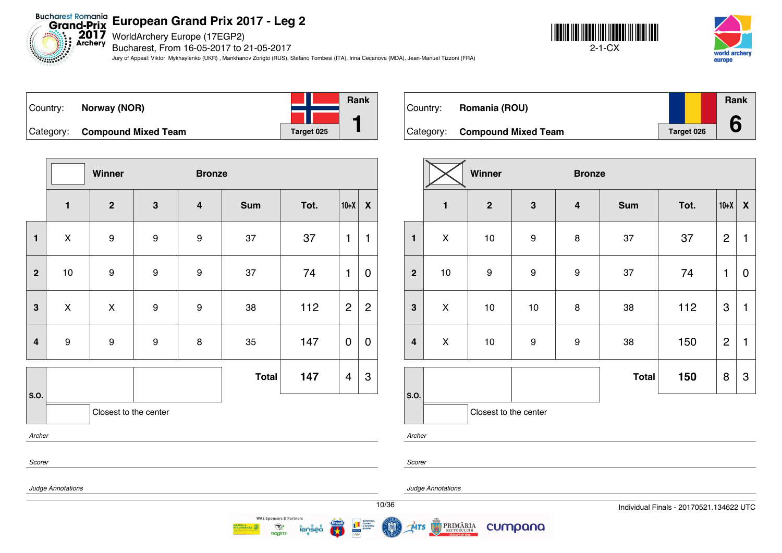Bucharest Romania<br>Grand-Prix European Grand Prix 20<br>Exchery Bucharest. From 16-05-2017 to 2

Bucharest, From 16-05-2017 to 21-05-2017

Jury of Appeal: Viktor Mykhaylenko (UKR) , Mankhanov Zorigto (RUS), Stefano Tombesi (ITA), Irina Cecanova (MDA), Jean-Manuel Tizzoni (FRA)





| Country: | Norway (NOR)                  |  |            | <b>Rank</b> |
|----------|-------------------------------|--|------------|-------------|
|          |                               |  |            |             |
|          | Category: Compound Mixed Team |  | Target 025 |             |

|                | Winner                |                  |                  | <b>Bronze</b>           |              |      |                         |                           |
|----------------|-----------------------|------------------|------------------|-------------------------|--------------|------|-------------------------|---------------------------|
|                | $\mathbf{1}$          | $\mathbf{2}$     | $\mathbf{3}$     | $\overline{\mathbf{4}}$ | <b>Sum</b>   | Tot. | $10+X$                  | $\boldsymbol{X}$          |
| $\mathbf{1}$   | X                     | 9                | $\boldsymbol{9}$ | 9                       | 37           | 37   | 1                       | 1                         |
| $\mathbf{2}$   | $10$                  | $\boldsymbol{9}$ | 9                | 9                       | 37           | 74   | $\mathbf{1}$            | $\mathbf 0$               |
| 3              | X                     | $\pmb{\times}$   | 9                | 9                       | 38           | 112  | $\overline{2}$          | $\overline{2}$            |
| $\overline{4}$ | $\boldsymbol{9}$      | $\boldsymbol{9}$ | 9                | 8                       | 35           | 147  | $\mathbf 0$             | $\mathbf 0$               |
|                |                       |                  |                  |                         | <b>Total</b> | 147  | $\overline{\mathbf{4}}$ | $\ensuremath{\mathsf{3}}$ |
| S.O.           | Closest to the center |                  |                  |                         |              |      |                         |                           |
| Archer         |                       |                  |                  |                         |              |      |                         |                           |
| Scorer         |                       |                  |                  |                         |              |      |                         |                           |

| Country: | Romania (ROU)                 |            | Rank |
|----------|-------------------------------|------------|------|
|          | Category: Compound Mixed Team | Target 026 |      |

|                         | Winner<br><b>Bronze</b> |                       |                  |                         |              |      |                |                  |
|-------------------------|-------------------------|-----------------------|------------------|-------------------------|--------------|------|----------------|------------------|
|                         | $\mathbf{1}$            | $\mathbf{2}$          | 3                | $\overline{\mathbf{4}}$ | <b>Sum</b>   | Tot. | $10+X$         | $\boldsymbol{X}$ |
| $\mathbf{1}$            | $\pmb{\times}$          | 10                    | 9                | $\bf8$                  | 37           | 37   | $\overline{2}$ | 1                |
| $\mathbf{2}$            | 10                      | $\boldsymbol{9}$      | $\boldsymbol{9}$ | $\boldsymbol{9}$        | 37           | 74   | 1              | $\mathbf 0$      |
| $\mathbf{3}$            | $\mathsf{X}$            | 10                    | 10               | 8                       | 38           | 112  | 3              | 1                |
| $\overline{\mathbf{4}}$ | $\pmb{\times}$          | 10                    | $\boldsymbol{9}$ | $\boldsymbol{9}$        | 38           | 150  | $\overline{2}$ | $\mathbf{1}$     |
|                         |                         |                       |                  |                         | <b>Total</b> | 150  | 8              | 3                |
| S.O.                    |                         | Closest to the center |                  |                         |              |      |                |                  |

*Archer*

*Scorer*

MTS



*Judge Annotations*

**PRIMĂRIA** 

cumpana



**WAE Sponsors & Partners** 

 $\mathcal{R}$ 

**Ragim**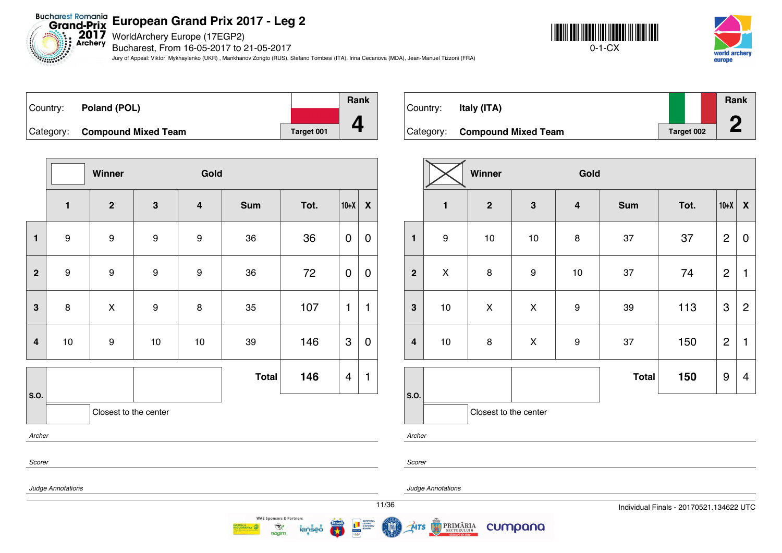**2017** WorldArchery Europe (17EGP2)

Bucharest, From 16-05-2017 to 21-05-2017

Jury of Appeal: Viktor Mykhaylenko (UKR) , Mankhanov Zorigto (RUS), Stefano Tombesi (ITA), Irina Cecanova (MDA), Jean-Manuel Tizzoni (FRA)





| Country: Poland (POL)         |            | Rank |
|-------------------------------|------------|------|
|                               |            |      |
| Category: Compound Mixed Team | Target 001 |      |

**Winner Gold 1 2 3 4 Sum Tot. 10+X X 1** | 9 | 9 | 9 | 9 | 36 | 36 | 0 | 0 **2** | 9 | 9 | 9 | 36 | 72 |<code>O|O</code> **3** | 8 | X | 9 | 8 | 35 | 107 |1 |1 **4** | 10 | 9 | 10 | 10 | 39 | 146 |3 | 0 **S.O. Total 146** 4 1 Closest to the center *Archer Scorer*

| Country: | Italy (ITA)                   |            | Rank |
|----------|-------------------------------|------------|------|
|          | Category: Compound Mixed Team | Target 002 |      |

|                         |                    | Winner                |              | Gold                    |              |      |                           |                         |
|-------------------------|--------------------|-----------------------|--------------|-------------------------|--------------|------|---------------------------|-------------------------|
|                         | $\mathbf{1}$       | $\mathbf{2}$          | $\mathbf{3}$ | $\overline{\mathbf{4}}$ | <b>Sum</b>   | Tot. | $10+X$                    | $\pmb{\mathsf{X}}$      |
| $\mathbf{1}$            | $\boldsymbol{9}$   | $10$                  | $10$         | $\bf 8$                 | 37           | 37   | $\overline{2}$            | $\mathbf 0$             |
| $\overline{2}$          | $\pmb{\mathsf{X}}$ | 8                     | 9            | $10$                    | 37           | 74   | $\overline{2}$            | 1                       |
| $\mathbf{3}$            | $10$               | $\pmb{\mathsf{X}}$    | $\mathsf X$  | $\boldsymbol{9}$        | 39           | 113  | $\ensuremath{\mathsf{3}}$ | $\overline{2}$          |
| $\overline{\mathbf{4}}$ | 10                 | 8                     | $\mathsf X$  | $\boldsymbol{9}$        | 37           | 150  | $\overline{2}$            | $\mathbf{1}$            |
|                         |                    |                       |              |                         | <b>Total</b> | 150  | $\boldsymbol{9}$          | $\overline{\mathbf{4}}$ |
| S.O.                    |                    | Closest to the center |              |                         |              |      |                           |                         |

*Archer*

*Judge Annotations*

*Scorer*

## *Judge Annotations*

11/36 Individual Finals - 20170521.134622 UTC



 $\mathcal{R}$ 

**Ragim** 

PRIMĂRIA **MTS** 

cumpana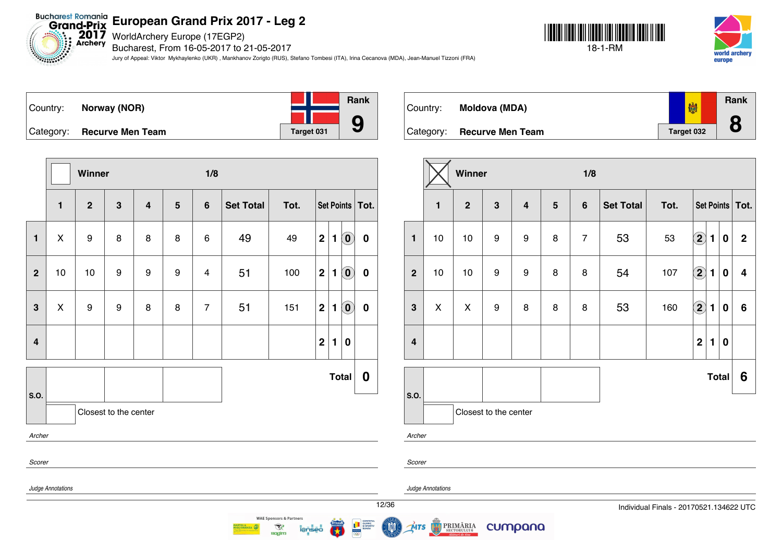$2017$ <br>Archery WorldArchery Europe (17EGP2)

Bucharest, From 16-05-2017 to 21-05-2017

Jury of Appeal: Viktor Mykhaylenko (UKR) , Mankhanov Zorigto (RUS), Stefano Tombesi (ITA), Irina Cecanova (MDA), Jean-Manuel Tizzoni (FRA)





| Country:  | Norway (NOR)            |            | <b>Rank</b> |
|-----------|-------------------------|------------|-------------|
|           |                         |            |             |
| Category: | <b>Recurve Men Team</b> | Target 031 | 9           |

**Winner 1/8 1 2 3 4 5 6 Set Total Tot. Set Points Tot. 1** X 9 8 8 8 6 49 49 **2 1 0 0 2** 10 10 9 9 9 4 51 100 **2 1 0 0 3** X 9 9 8 8 7 51 151 **2 1 0 0 4 2 1 0 S.O. Total 0** Closest to the center *Archer Scorer Judge Annotations*

| Country:  | Moldova (MDA)           | 喇          | Rank<br>$\bullet$ |
|-----------|-------------------------|------------|-------------------|
| Category: | <b>Recurve Men Team</b> | Target 032 | O                 |

|                         |                                              | Winner |                       |                         |                 | 1/8            |                  |      |                      |                |              |              |
|-------------------------|----------------------------------------------|--------|-----------------------|-------------------------|-----------------|----------------|------------------|------|----------------------|----------------|--------------|--------------|
|                         | $\mathbf{3}$<br>$\mathbf{1}$<br>$\mathbf{2}$ |        |                       | $\overline{\mathbf{4}}$ | $5\phantom{.0}$ | $6\phantom{1}$ | <b>Set Total</b> | Tot. | Set Points   Tot.    |                |              |              |
| $\mathbf{1}$            | 10                                           | 10     | $\boldsymbol{9}$      | 9                       | 8               | $\overline{7}$ | 53               | 53   | $\bigcirc \!\! \! 2$ | $\blacksquare$ | $\bf{0}$     | $\mathbf{2}$ |
| $\mathbf{2}$            | 10                                           | 10     | 9                     | 9                       | 8               | 8              | 54               | 107  | $\bigcirc$           | 1              | 0            | 4            |
| 3                       | X                                            | X      | $\boldsymbol{9}$      | 8                       | 8               | 8              | 53               | 160  | $\bf{(2)}$           | $\blacksquare$ | $\bf{0}$     | $\bf 6$      |
| $\overline{\mathbf{4}}$ |                                              |        |                       |                         |                 |                |                  |      | $\mathbf 2$          | 1              | $\bf{0}$     |              |
|                         |                                              |        |                       |                         |                 |                |                  |      |                      |                | <b>Total</b> | 6            |
| S.O.                    |                                              |        | Closest to the center |                         |                 |                |                  |      |                      |                |              |              |

*Archer*

*Scorer*

*Judge Annotations*

**MTS** 

PRIMĂRIA

cumpana

12/36 Individual Finals - 20170521.134622 UTC



 $\mathcal{R}$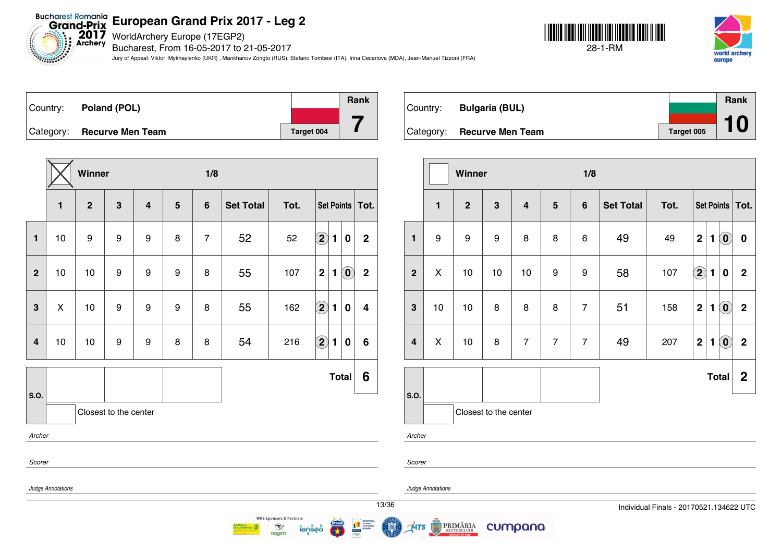Bucharest Romania<br>Grand-Prix **European Grand Prix 2017 - Leg 2**

2017 WorldArchery Europe (17EGP2)

Bucharest, From 16-05-2017 to 21-05-2017

Jury of Appeal: Viktor Mykhaylenko (UKR) , Mankhanov Zorigto (RUS), Stefano Tombesi (ITA), Irina Cecanova (MDA), Jean-Manuel Tizzoni (FRA)







|                         |                   | Winner           |                       |                |   | 1/8            |                  |      |                            |                |                            |                   |
|-------------------------|-------------------|------------------|-----------------------|----------------|---|----------------|------------------|------|----------------------------|----------------|----------------------------|-------------------|
|                         | $\mathbf{1}$      | $\overline{2}$   | $\mathbf{3}$          | $\overline{4}$ | 5 | $6\phantom{1}$ | <b>Set Total</b> | Tot. |                            |                |                            | Set Points   Tot. |
| $\mathbf{1}$            | 10                | $\boldsymbol{9}$ | $\boldsymbol{9}$      | 9              | 8 | $\overline{7}$ | 52               | 52   | $\bigcirc$                 | $\blacksquare$ | $\bf{0}$                   | $\overline{2}$    |
| $\overline{2}$          | 10                | 10               | $\boldsymbol{9}$      | 9              | 9 | 8              | 55               | 107  | $\overline{2}$             | 1              | $\left( \mathbf{0}\right)$ | $\mathbf 2$       |
| $\mathbf{3}$            | X                 | 10               | $\boldsymbol{9}$      | 9              | 9 | 8              | 55               | 162  | $\left( \mathbf{2}\right)$ | 1              | $\mathbf 0$                | 4                 |
| $\overline{\mathbf{4}}$ | 10                | 10               | $\boldsymbol{9}$      | 9              | 8 | 8              | 54               | 216  | $\left( \bf{2}\right)$     | 1              | $\bf{0}$                   | 6                 |
| S.O.                    |                   |                  |                       |                |   |                |                  |      |                            |                | <b>Total</b>               | 6                 |
|                         |                   |                  | Closest to the center |                |   |                |                  |      |                            |                |                            |                   |
| Archer                  |                   |                  |                       |                |   |                |                  |      |                            |                |                            |                   |
| Scorer                  |                   |                  |                       |                |   |                |                  |      |                            |                |                            |                   |
|                         | Judge Annotations |                  |                       |                |   |                |                  |      |                            |                |                            |                   |
|                         |                   |                  |                       |                |   |                |                  |      |                            |                |                            |                   |

|          |                            |            | Rank |
|----------|----------------------------|------------|------|
| Country: | <b>Bulgaria (BUL)</b>      |            |      |
|          | Category: Recurve Men Team | Target 005 | 10   |

|                  |                       | Winner         |    |                         |                | 1/8            |                  |      |                   |                |                                                |                  |
|------------------|-----------------------|----------------|----|-------------------------|----------------|----------------|------------------|------|-------------------|----------------|------------------------------------------------|------------------|
|                  | $\mathbf{1}$          | $\overline{2}$ | 3  | $\overline{\mathbf{4}}$ | $5\phantom{1}$ | $6\phantom{a}$ | <b>Set Total</b> | Tot. | Set Points   Tot. |                |                                                |                  |
| $\mathbf{1}$     | 9                     | 9              | 9  | 8                       | 8              | 6              | 49               | 49   | $\mathbf 2$       | $\mathbf{1}$   | $\left( \mathbf{0}\right)$                     | $\bf{0}$         |
| $\boldsymbol{2}$ | X                     | 10             | 10 | 10                      | 9              | 9              | 58               | 107  | $\bf{(2)}$        | $\blacksquare$ | $\bf{0}$                                       | $\mathbf 2$      |
| $\mathbf{3}$     | 10                    | 10             | 8  | 8                       | 8              | $\overline{7}$ | 51               | 158  | $\mathbf{2}$      | 1              | $\left( \begin{matrix} 0 \end{matrix} \right)$ | $\mathbf 2$      |
| $\overline{4}$   | X                     | 10             | 8  | $\overline{7}$          | $\overline{7}$ | $\overline{7}$ | 49               | 207  | $\mathbf 2$       | $\blacksquare$ | $\left( \textbf{0} \right)$                    | $\mathbf 2$      |
|                  |                       |                |    |                         |                |                |                  |      |                   |                | <b>Total</b>                                   | $\boldsymbol{2}$ |
| S.O.             | Closest to the center |                |    |                         |                |                |                  |      |                   |                |                                                |                  |
| Archer           |                       |                |    |                         |                |                |                  |      |                   |                |                                                |                  |

*Scorer*

ŃTS

*Judge Annotations*

13/36 Individual Finals - 20170521.134622 UTC



 $\mathcal{R}$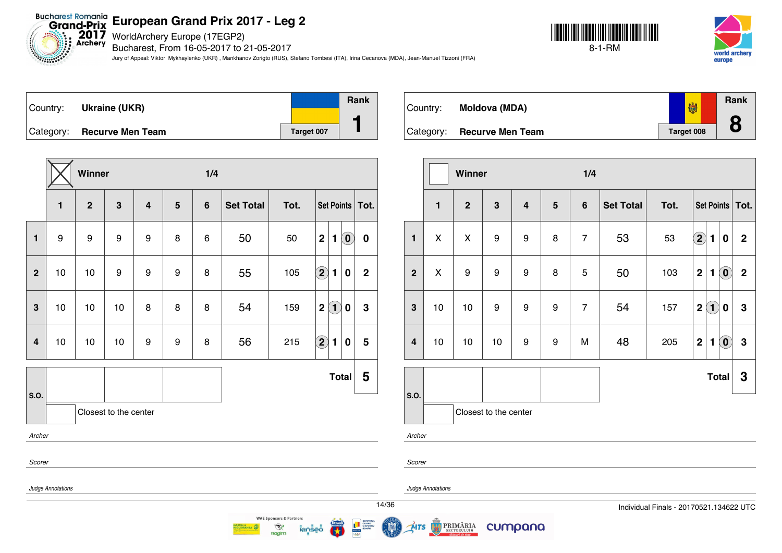Bucharest Romania<br>Grand-Prix European Grand Prix 20<br>Archery Bucharchery Europe (17EGP2)

Bucharest, From 16-05-2017 to 21-05-2017

Jury of Appeal: Viktor Mykhaylenko (UKR) , Mankhanov Zorigto (RUS), Stefano Tombesi (ITA), Irina Cecanova (MDA), Jean-Manuel Tizzoni (FRA)





| ∣Country: | Ukraine (UKR)              |            | <b>Rank</b> |
|-----------|----------------------------|------------|-------------|
|           | Category: Recurve Men Team | Target 007 |             |

|                |                   | Winner         |                       |                  |                | 1/4            |                  |      |                                                              |             |
|----------------|-------------------|----------------|-----------------------|------------------|----------------|----------------|------------------|------|--------------------------------------------------------------|-------------|
|                | $\mathbf{1}$      | $\overline{2}$ | $\mathbf{3}$          | $\overline{4}$   | $5\phantom{1}$ | $6\phantom{1}$ | <b>Set Total</b> | Tot. | Set Points   Tot.                                            |             |
| $\mathbf{1}$   | 9                 | 9              | 9                     | 9                | 8              | 6              | 50               | 50   | $\overline{2}$<br>$\left( \mathbf{0}\right)$<br>$\mathbf{1}$ | $\bf{0}$    |
| $\overline{2}$ | 10                | 10             | 9                     | 9                | 9              | 8              | 55               | 105  | $\left( \mathbf{2}\right)$<br>1<br>0                         | $\mathbf 2$ |
| 3              | 10                | 10             | 10                    | 8                | 8              | 8              | 54               | 159  | $\left( 1\right)$<br>$\mathbf 2$<br>0                        | $\mathbf 3$ |
| 4              | 10                | 10             | 10                    | $\boldsymbol{9}$ | 9              | 8              | 56               | 215  | $\mathbf{2}$<br>1<br>$\boldsymbol{0}$                        | 5           |
| S.O.           |                   |                |                       |                  |                |                |                  |      | <b>Total</b>                                                 | 5           |
|                |                   |                | Closest to the center |                  |                |                |                  |      |                                                              |             |
| Archer         |                   |                |                       |                  |                |                |                  |      |                                                              |             |
| Scorer         |                   |                |                       |                  |                |                |                  |      |                                                              |             |
|                | Judge Annotations |                |                       |                  |                |                |                  |      |                                                              |             |
|                |                   |                |                       |                  |                |                |                  |      |                                                              |             |

 $\mathcal{R}$ 

**Ragim** 



|                  |              | Winner         |                       |                         | 1/4            |                |                  |      |                |                            |                                                |                  |
|------------------|--------------|----------------|-----------------------|-------------------------|----------------|----------------|------------------|------|----------------|----------------------------|------------------------------------------------|------------------|
|                  | $\mathbf{1}$ | $\overline{2}$ | 3                     | $\overline{\mathbf{4}}$ | $5\phantom{1}$ | $6\phantom{1}$ | <b>Set Total</b> | Tot. | Set Points     |                            |                                                | Tot.             |
| $\mathbf{1}$     | X            | X              | 9                     | 9                       | 8              | $\overline{7}$ | 53               | 53   | $\bf (2)$      | 1                          | 0                                              | $\boldsymbol{2}$ |
| $\overline{2}$   | Χ            | 9              | 9                     | 9                       | 8              | 5              | 50               | 103  | $\overline{2}$ | 1                          | $\odot$                                        | $\mathbf 2$      |
| $\mathbf{3}$     | 10           | 10             | 9                     | 9                       | 9              | $\overline{7}$ | 54               | 157  | $\mathbf 2$    | $\left( \mathbf{1}\right)$ | 0                                              | $\mathbf 3$      |
| $\boldsymbol{4}$ | 10           | 10             | 10                    | 9                       | 9              | М              | 48               | 205  | $\mathbf 2$    | $\mathbf{1}$               | $\left( \begin{matrix} 0 \end{matrix} \right)$ | $\mathbf{3}$     |
|                  |              |                |                       |                         |                |                |                  |      |                | <b>Total</b>               |                                                | 3                |
| S.O.             |              |                | Closest to the center |                         |                |                |                  |      |                |                            |                                                |                  |
|                  | Archer       |                |                       |                         |                |                |                  |      |                |                            |                                                |                  |

*Judge Annotations*

*Scorer*

**MTS** 

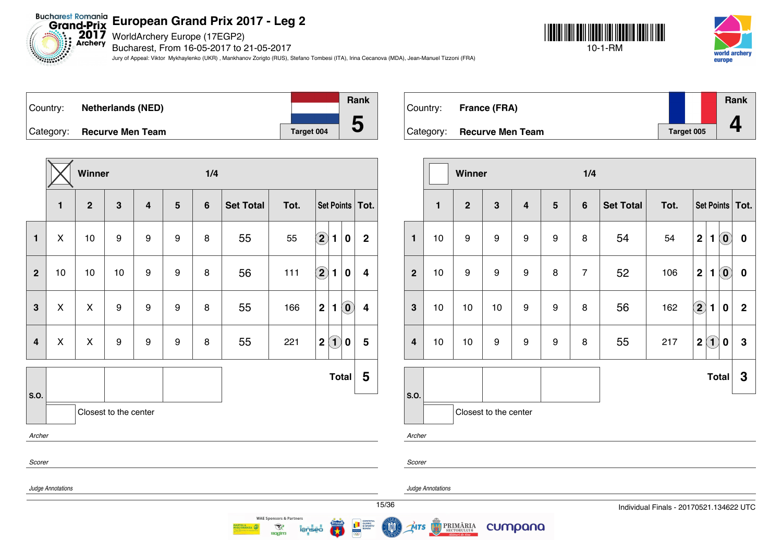$2017$ <br>Archery WorldArchery Europe (17EGP2)

*Electronics* 

Bucharest, From 16-05-2017 to 21-05-2017

Jury of Appeal: Viktor Mykhaylenko (UKR) , Mankhanov Zorigto (RUS), Stefano Tombesi (ITA), Irina Cecanova (MDA), Jean-Manuel Tizzoni (FRA)





Country: **Netherlands (NED)** Category: **Recurve Men Team Target 004 Rank 5**

|                         |                   | Winner         |                       |                  |                | 1/4 |                  |      |                                                               |                         |
|-------------------------|-------------------|----------------|-----------------------|------------------|----------------|-----|------------------|------|---------------------------------------------------------------|-------------------------|
|                         | $\mathbf{1}$      | $\mathbf{2}$   | 3                     | $\overline{4}$   | $5\phantom{1}$ | 6   | <b>Set Total</b> | Tot. | Set Points                                                    | Tot.                    |
| $\mathbf{1}$            | X                 | 10             | 9                     | $\boldsymbol{9}$ | 9              | 8   | 55               | 55   | $\bf \overline{2}$<br>$\mathbf{1}$<br>0                       | $\overline{2}$          |
| $\overline{2}$          | 10                | 10             | 10                    | 9                | 9              | 8   | 56               | 111  | $\boxed{2}$<br>$\mathbf{1}$<br>$\bf{0}$                       | 4                       |
| $\mathbf{3}$            | $\mathsf{X}$      | $\pmb{\times}$ | 9                     | $\boldsymbol{9}$ | 9              | 8   | 55               | 166  | $\mathbf{2}$<br>$\left( \mathbf{0}\right)$<br>1               | $\overline{\mathbf{4}}$ |
| $\overline{\mathbf{4}}$ | X                 | $\pmb{\times}$ | $\boldsymbol{9}$      | $\boldsymbol{9}$ | 9              | 8   | 55               | 221  | $\left( \mathbf{1}\right)$<br>$\mathbf 2$<br>$\boldsymbol{0}$ | 5                       |
| S.O.                    |                   |                |                       |                  |                |     |                  |      | <b>Total</b>                                                  | 5                       |
|                         |                   |                | Closest to the center |                  |                |     |                  |      |                                                               |                         |
| Archer                  |                   |                |                       |                  |                |     |                  |      |                                                               |                         |
| Scorer                  |                   |                |                       |                  |                |     |                  |      |                                                               |                         |
|                         | Judge Annotations |                |                       |                  |                |     |                  |      |                                                               |                         |
|                         |                   |                |                       |                  |                |     |                  |      |                                                               | 15/36                   |



|                         |              | Winner           |                       |                         |   | 1/4            |                  |      |             |              |                                                |                   |
|-------------------------|--------------|------------------|-----------------------|-------------------------|---|----------------|------------------|------|-------------|--------------|------------------------------------------------|-------------------|
|                         | $\mathbf{1}$ | $\overline{2}$   | $\mathbf{3}$          | $\overline{\mathbf{4}}$ | 5 | $6\phantom{1}$ | <b>Set Total</b> | Tot. |             |              |                                                | Set Points   Tot. |
| $\mathbf{1}$            | 10           | 9                | 9                     | 9                       | 9 | 8              | 54               | 54   | $\mathbf 2$ | 1            | $\left( \begin{matrix} 0 \end{matrix} \right)$ | $\pmb{0}$         |
| $\overline{2}$          | 10           | $\boldsymbol{9}$ | 9                     | 9                       | 8 | $\overline{7}$ | 52               | 106  | $\mathbf 2$ | 1            | $\left( \begin{matrix} 0 \end{matrix} \right)$ | $\pmb{0}$         |
| $\mathbf{3}$            | 10           | 10               | 10                    | 9                       | 9 | 8              | 56               | 162  | $\bigcirc$  | 1            | $\bf{0}$                                       | $\mathbf 2$       |
| $\overline{\mathbf{4}}$ | 10           | 10               | 9                     | 9                       | 9 | 8              | 55               | 217  | $\mathbf 2$ | $\bf(1)$     | $\bf{0}$                                       | 3                 |
|                         |              |                  |                       |                         |   |                |                  |      |             | <b>Total</b> |                                                | 3                 |
| S.O.<br>Archer          |              |                  | Closest to the center |                         |   |                |                  |      |             |              |                                                |                   |

*Scorer*

*Judge Annotations*

cumpana

15/36 Individual Finals - 20170521.134622 UTC



 $\mathcal{R}$ 

**Ragim** 



ŃTS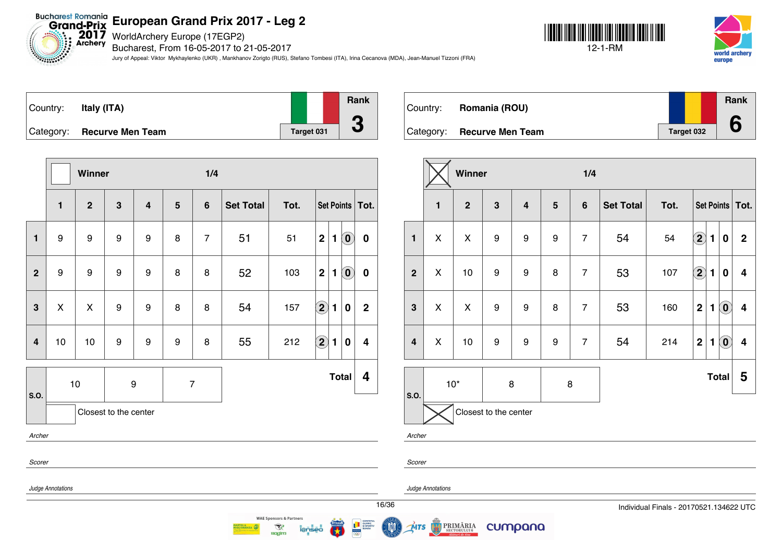WorldArchery Europe (17EGP2)

Bucharest, From 16-05-2017 to 21-05-2017

Jury of Appeal: Viktor Mykhaylenko (UKR) , Mankhanov Zorigto (RUS), Stefano Tombesi (ITA), Irina Cecanova (MDA), Jean-Manuel Tizzoni (FRA)





| Country: | Italy (ITA)                |            | Rank                     |
|----------|----------------------------|------------|--------------------------|
|          |                            |            |                          |
|          | Category: Recurve Men Team | Target 031 | $\overline{\phantom{a}}$ |

|                         |                   | Winner           |                       |                         |   | 1/4            |                  |      |                |              |                            |                         |
|-------------------------|-------------------|------------------|-----------------------|-------------------------|---|----------------|------------------|------|----------------|--------------|----------------------------|-------------------------|
|                         | $\mathbf{1}$      | $\overline{2}$   | $\overline{3}$        | $\overline{\mathbf{4}}$ | 5 | $6\phantom{1}$ | <b>Set Total</b> | Tot. |                |              |                            | Set Points   Tot.       |
| $\mathbf{1}$            | 9                 | 9                | 9                     | 9                       | 8 | $\overline{7}$ | 51               | 51   | $\mathbf 2$    | $\mathbf{1}$ | $\left( \mathbf{0}\right)$ | $\pmb{0}$               |
| $\overline{2}$          | 9                 | $\boldsymbol{9}$ | $\boldsymbol{9}$      | $\boldsymbol{9}$        | 8 | 8              | 52               | 103  | $\overline{2}$ | 1            | $\left( \mathbf{0}\right)$ | $\pmb{0}$               |
| $\overline{\mathbf{3}}$ | $\pmb{\times}$    | $\mathsf{x}$     | 9                     | 9                       | 8 | 8              | 54               | 157  | $\bigcirc$     | 1            | $\mathbf 0$                | $\overline{2}$          |
| $\overline{4}$          | 10                | 10               | 9                     | 9                       | 9 | 8              | 55               | 212  | $\bf(2)$       | 1            | $\mathbf 0$                | $\overline{\mathbf{4}}$ |
| S.O.                    |                   | 10               | 9                     |                         |   | $\overline{7}$ |                  |      |                |              | <b>Total</b>               | 4                       |
|                         |                   |                  | Closest to the center |                         |   |                |                  |      |                |              |                            |                         |
| Archer                  |                   |                  |                       |                         |   |                |                  |      |                |              |                            |                         |
| Scorer                  |                   |                  |                       |                         |   |                |                  |      |                |              |                            |                         |
|                         | Judge Annotations |                  |                       |                         |   |                |                  |      |                |              |                            |                         |

| Country: | Romania (ROU)              |            | Rank |
|----------|----------------------------|------------|------|
|          | Category: Recurve Men Team | Target 032 | 6    |

|                         |                                     | Winner |                       |                         |                  | 1/4            |                  |      |                      |                |                                                |                   |
|-------------------------|-------------------------------------|--------|-----------------------|-------------------------|------------------|----------------|------------------|------|----------------------|----------------|------------------------------------------------|-------------------|
|                         | 3<br>$\mathbf{1}$<br>$\overline{2}$ |        |                       | $\overline{\mathbf{4}}$ | ${\bf 5}$        | $\bf 6$        | <b>Set Total</b> | Tot. |                      |                |                                                | Set Points   Tot. |
| $\mathbf{1}$            | X                                   | Χ      | 9                     | 9                       | 9                | $\overline{7}$ | 54               | 54   | $\Large{\textbf{2}}$ | 1              | $\bf{0}$                                       | $\mathbf 2$       |
| $\overline{2}$          | X                                   | 10     | 9                     | 9                       | 8                | $\overline{7}$ | 53               | 107  | $\boxed{2}$          | $\blacksquare$ | 0                                              | 4                 |
| $\mathbf{3}$            | X                                   | X      | 9                     | 9                       | 8                | $\overline{7}$ | 53               | 160  | $\mathbf 2$          | $\mathbf{1}$   | $\left( 0 \right)$                             | 4                 |
| $\overline{\mathbf{4}}$ | X                                   | $10$   | 9                     | 9                       | $\boldsymbol{9}$ | $\overline{7}$ | 54               | 214  | $\mathbf 2$          | $\blacksquare$ | $\left( \begin{matrix} 0 \end{matrix} \right)$ | 4                 |
|                         |                                     | $10*$  | 8                     |                         | $\bf8$           |                |                  |      |                      |                | <b>Total</b>                                   | 5                 |
| S.O.                    |                                     |        | Closest to the center |                         |                  |                |                  |      |                      |                |                                                |                   |

*Archer*

*Scorer*

**MTS** 

*Judge Annotations*

PRIMĂRIA

cumpana

16/36 Individual Finals - 20170521.134622 UTC



 $\mathcal{R}$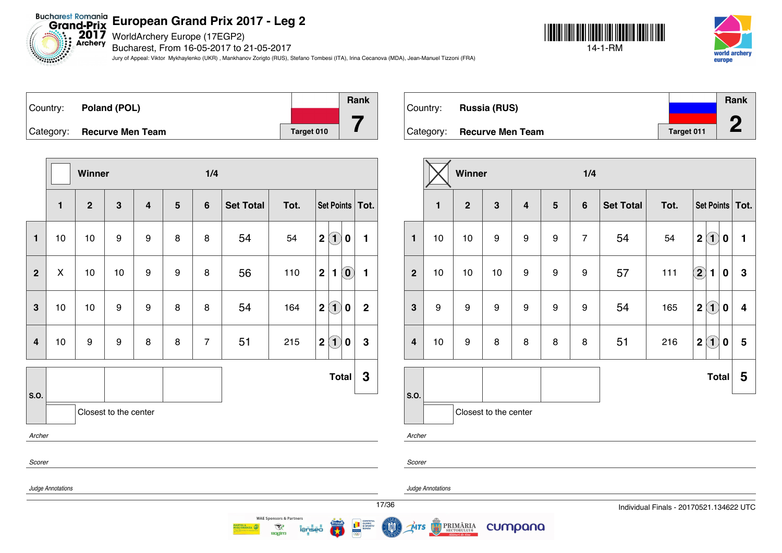Bucharest Romania<br>Grand-Prix European Grand Prix 20<br>Archery Bucharchery Europe (17EGP2)

*<u>Alimnists</u>* 

Bucharest, From 16-05-2017 to 21-05-2017

Jury of Appeal: Viktor Mykhaylenko (UKR) , Mankhanov Zorigto (RUS), Stefano Tombesi (ITA), Irina Cecanova (MDA), Jean-Manuel Tizzoni (FRA)





Country: **Poland (POL)** Category: **Recurve Men Team Tanget 010 Rank 7**

|                |                   | Winner         |                       |                         |                | 1/4            |                  |      |                                                                    |              |
|----------------|-------------------|----------------|-----------------------|-------------------------|----------------|----------------|------------------|------|--------------------------------------------------------------------|--------------|
|                | $\mathbf{1}$      | $\overline{2}$ | $\mathbf{3}$          | $\overline{\mathbf{4}}$ | $5\phantom{1}$ | $6\phantom{1}$ | <b>Set Total</b> | Tot. | Set Points   Tot.                                                  |              |
| $\mathbf{1}$   | 10                | 10             | 9                     | 9                       | 8              | 8              | 54               | 54   | $\left( \mathbf{1}\right)$<br>$\mathbf 2$<br>$\pmb{0}$             | $\mathbf{1}$ |
| $\overline{2}$ | X                 | 10             | 10                    | 9                       | 9              | 8              | 56               | 110  | $\left( \begin{matrix} 0 \end{matrix} \right)$<br>$\mathbf 2$<br>1 | $\mathbf{1}$ |
| 3              | 10                | 10             | 9                     | 9                       | 8              | 8              | 54               | 164  | $\left( 1\right)$<br>$\mathbf 2$<br>$\mathbf 0$                    | $\mathbf{2}$ |
| $\overline{4}$ | 10                | 9              | 9                     | 8                       | 8              | $\overline{7}$ | 51               | 215  | $\left( 1\right)$<br>$\boldsymbol{2}$<br>0                         | $\mathbf 3$  |
| S.O.           |                   |                |                       |                         |                |                |                  |      | <b>Total</b>                                                       | $\mathbf 3$  |
|                |                   |                | Closest to the center |                         |                |                |                  |      |                                                                    |              |
| Archer         |                   |                |                       |                         |                |                |                  |      |                                                                    |              |
| Scorer         |                   |                |                       |                         |                |                |                  |      |                                                                    |              |
|                | Judge Annotations |                |                       |                         |                |                |                  |      |                                                                    |              |
|                |                   |                |                       |                         |                |                |                  |      |                                                                    |              |

|          |                            |            | Rank |
|----------|----------------------------|------------|------|
| Country: | <b>Russia (RUS)</b>        |            |      |
|          |                            |            | ∕∩   |
|          | Category: Recurve Men Team | Target 011 |      |

|                         |              | Winner           |                       |                         |   | 1/4            |                  |      |                                                     |      |  |  |
|-------------------------|--------------|------------------|-----------------------|-------------------------|---|----------------|------------------|------|-----------------------------------------------------|------|--|--|
|                         | $\mathbf{1}$ | $\mathbf{2}$     | $\mathbf{3}$          | $\overline{\mathbf{4}}$ | 5 | $6\phantom{1}$ | <b>Set Total</b> | Tot. | Set Points                                          | Tot. |  |  |
| $\mathbf{1}$            | 10           | 10               | $\boldsymbol{9}$      | 9                       | 9 | $\overline{7}$ | 54               | 54   | $\bf(1)$<br>$\mathbf 2$<br>0                        | 1    |  |  |
| $\overline{2}$          | 10           | 10               | 10                    | 9                       | 9 | 9              | 57               | 111  | $\Large{\textbf{2}}$<br>$\blacksquare$<br>0         | 3    |  |  |
| $\mathbf{3}$            | 9            | $\boldsymbol{9}$ | $\boldsymbol{9}$      | 9                       | 9 | 9              | 54               | 165  | $\overline{\mathbf{2}}$<br>(1)<br>$\boldsymbol{0}$  | 4    |  |  |
| $\overline{\mathbf{4}}$ | 10           | 9                | 8                     | 8                       | 8 | 8              | 51               | 216  | $\mathbf{1}$<br>$\overline{\mathbf{2}}$<br>$\bf{0}$ | 5    |  |  |
|                         |              |                  |                       |                         |   |                |                  |      | <b>Total</b>                                        | 5    |  |  |
| S.O.                    |              |                  | Closest to the center |                         |   |                |                  |      |                                                     |      |  |  |
| Archer                  |              |                  |                       |                         |   |                |                  |      |                                                     |      |  |  |

*Scorer*

*Judge Annotations*

MTS

PRIMĂRIA

cumpana



 $\mathcal{R}$ 

**Ragim**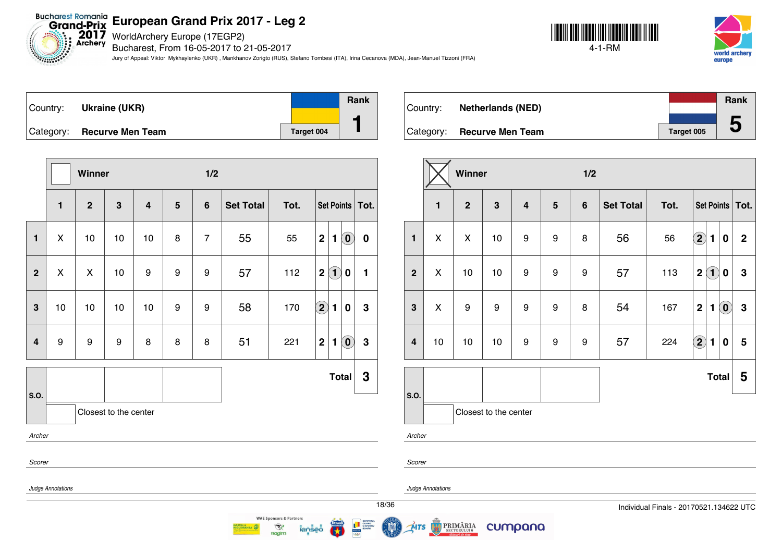WorldArchery Europe (17EGP2)

Bucharest, From 16-05-2017 to 21-05-2017

Jury of Appeal: Viktor Mykhaylenko (UKR) , Mankhanov Zorigto (RUS), Stefano Tombesi (ITA), Irina Cecanova (MDA), Jean-Manuel Tizzoni (FRA)

**Rank**





| Country: | Ukraine (UKR)                  |            | Ran |
|----------|--------------------------------|------------|-----|
|          |                                |            |     |
|          | $ $ Category: Recurve Men Team | Target 004 |     |

|                |                   | Winner       |                       |                |                | 1/2            |                  |      |                                           |                                                     |          |
|----------------|-------------------|--------------|-----------------------|----------------|----------------|----------------|------------------|------|-------------------------------------------|-----------------------------------------------------|----------|
|                | $\mathbf{1}$      | $\mathbf{2}$ | $\mathbf{3}$          | $\overline{4}$ | $5\phantom{1}$ | $6\phantom{1}$ | <b>Set Total</b> | Tot. | Set Points                                |                                                     | Tot.     |
| $\mathbf{1}$   | X                 | 10           | 10                    | 10             | 8              | $\overline{7}$ | 55               | 55   | $\mathbf 2$<br>$\blacksquare$             | $\left( \begin{matrix} 0 \\ 0 \end{matrix} \right)$ | $\bf{0}$ |
| $\overline{2}$ | X                 | X            | 10                    | 9              | 9              | 9              | 57               | 112  | $\left( \mathbf{1}\right)$<br>$\mathbf 2$ | $\bf{0}$                                            | 1        |
| 3              | 10                | 10           | 10                    | 10             | 9              | 9              | 58               | 170  | $\left( \mathbf{2}\right)$<br>1           | $\bf{0}$                                            | 3        |
| 4              | $\boldsymbol{9}$  | 9            | 9                     | 8              | 8              | 8              | 51               | 221  | $\boldsymbol{2}$<br>1                     | $\left( \mathbf{0}\right)$                          | 3        |
| S.O.           |                   |              |                       |                |                |                |                  |      |                                           | <b>Total</b>                                        | 3        |
|                |                   |              | Closest to the center |                |                |                |                  |      |                                           |                                                     |          |
| Archer         |                   |              |                       |                |                |                |                  |      |                                           |                                                     |          |
| Scorer         |                   |              |                       |                |                |                |                  |      |                                           |                                                     |          |
|                | Judge Annotations |              |                       |                |                |                |                  |      |                                           |                                                     |          |
|                |                   |              |                       |                |                |                |                  |      |                                           |                                                     | 18/3     |

 $\mathcal{R}$ 

**Ragim** 

|          |                            |                   | <b>Rank</b> |
|----------|----------------------------|-------------------|-------------|
| Country: | <b>Netherlands (NED)</b>   |                   |             |
|          |                            |                   |             |
|          | Category: Recurve Men Team | <b>Target 005</b> | 5           |

|                |              | Winner       |                       |                         |   | 1/2            |                  |      |                                     |                            |                   |
|----------------|--------------|--------------|-----------------------|-------------------------|---|----------------|------------------|------|-------------------------------------|----------------------------|-------------------|
|                | $\mathbf{1}$ | $\mathbf{2}$ | $\mathbf{3}$          | $\overline{\mathbf{4}}$ | 5 | $6\phantom{a}$ | <b>Set Total</b> | Tot. |                                     |                            | Set Points   Tot. |
| $\mathbf{1}$   | X            | X            | 10                    | 9                       | 9 | 8              | 56               | 56   | $\bf \Omega$<br>1                   | $\bf{0}$                   | $\mathbf 2$       |
| $\mathbf{2}$   | X            | 10           | 10                    | 9                       | 9 | 9              | 57               | 113  | $\mathbf{1}$<br>$\overline{2}$      | 0                          | 3                 |
| $\mathbf{3}$   | X            | 9            | 9                     | 9                       | 9 | 8              | 54               | 167  | $\overline{2}$<br>$\blacksquare$    | $\left( \mathbf{0}\right)$ | $\mathbf 3$       |
| $\overline{4}$ | 10           | 10           | 10                    | 9                       | 9 | 9              | 57               | 224  | $\left( 2\right)$<br>$\blacksquare$ | $\bf{0}$                   | 5                 |
|                |              |              |                       |                         |   |                |                  |      |                                     | <b>Total</b>               | 5                 |
| S.O.           |              |              | Closest to the center |                         |   |                |                  |      |                                     |                            |                   |

*Archer*

*Scorer*

MTS

*Judge Annotations*

**PRIMĂRIA** 

cumpana

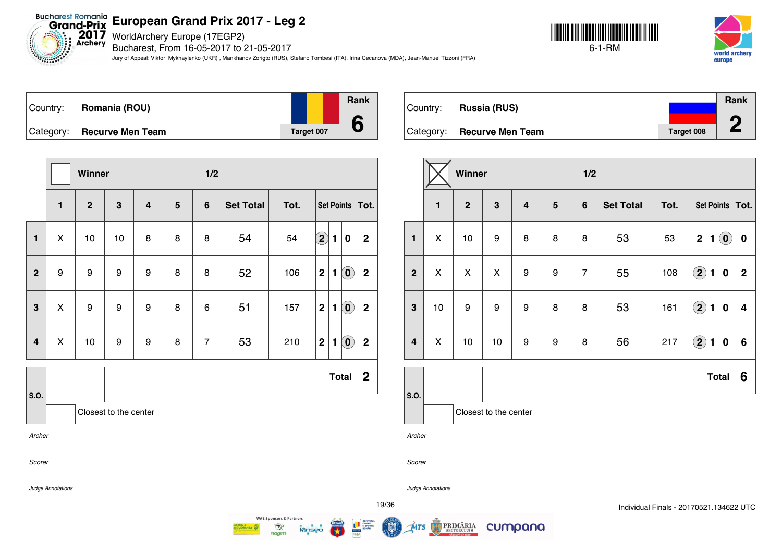Bucharest Romania<br>Grand-Prix **European Grand Prix 2017 - Leg 2**

 $2017$ <br>Archery WorldArchery Europe (17EGP2)

Bucharest, From 16-05-2017 to 21-05-2017

Jury of Appeal: Viktor Mykhaylenko (UKR) , Mankhanov Zorigto (RUS), Stefano Tombesi (ITA), Irina Cecanova (MDA), Jean-Manuel Tizzoni (FRA)





| Country: | Romania (ROU)              |            | <b>Rank</b> |
|----------|----------------------------|------------|-------------|
|          | Category: Recurve Men Team | Target 007 |             |

**Winner 1/2 1 2 3 4 5 6 Set Total Tot. Set Points Tot. 1** X 10 10 8 8 8 54 54 **2 1 0 2 2** 9 9 9 9 8 8 52 106 **2 1 0 2 3**  $\vert$  X  $\vert$  9  $\vert$  9  $\vert$  9  $\vert$  8  $\vert$  6  $\vert$  51  $\vert$  157  $\vert$  2  $\vert$  1  $\vert$  0  $\vert$  2 **4** X 10 9 9 8 7 53 210 **2 1 0 2 S.O. Total 2** Closest to the center *Archer Scorer Judge Annotations*

|          |                            |                   | Rank |
|----------|----------------------------|-------------------|------|
| Country: | <b>Russia (RUS)</b>        |                   |      |
|          |                            |                   | ∕∩   |
|          | Category: Recurve Men Team | <b>Target 008</b> |      |

|                         |                       | Winner         |                  |                         |         | 1/2            |                  |      |                         |                |                            |                   |
|-------------------------|-----------------------|----------------|------------------|-------------------------|---------|----------------|------------------|------|-------------------------|----------------|----------------------------|-------------------|
|                         | 1                     | $\overline{2}$ | $\mathbf{3}$     | $\overline{\mathbf{4}}$ | $\bf 5$ | $6\phantom{1}$ | <b>Set Total</b> | Tot. |                         |                |                            | Set Points   Tot. |
| $\blacksquare$          | X                     | 10             | $\boldsymbol{9}$ | 8                       | 8       | 8              | 53               | 53   | $\mathbf 2$             | 1              | $\left( \mathbf{0}\right)$ | $\bf{0}$          |
| $\mathbf{2}$            | X                     | X              | X                | $\boldsymbol{9}$        | 9       | $\overline{7}$ | 55               | 108  | $\overline{\mathbf{2}}$ | 1              | $\bf{0}$                   | $\mathbf 2$       |
| $\mathbf{3}$            | 10                    | 9              | $\boldsymbol{9}$ | $\boldsymbol{9}$        | 8       | 8              | 53               | 161  | $\bf \overline{2}$      | 1              | $\boldsymbol{0}$           | 4                 |
| $\overline{\mathbf{4}}$ | X                     | 10             | 10               | 9                       | 9       | 8              | 56               | 217  | $\Large{\textbf{2}}$    | $\blacksquare$ | $\bf{0}$                   | 6                 |
|                         |                       |                |                  |                         |         |                |                  |      |                         | <b>Total</b>   |                            | 6                 |
| S.O.                    | Closest to the center |                |                  |                         |         |                |                  |      |                         |                |                            |                   |
| $\overline{a}$          |                       |                |                  |                         |         |                |                  |      |                         |                |                            |                   |

*Archer*

*Scorer*

*Judge Annotations*

**PRIMĂRIA** 

cumpana



**WAE Sponsors & Partners** 

 $\mathcal{R}$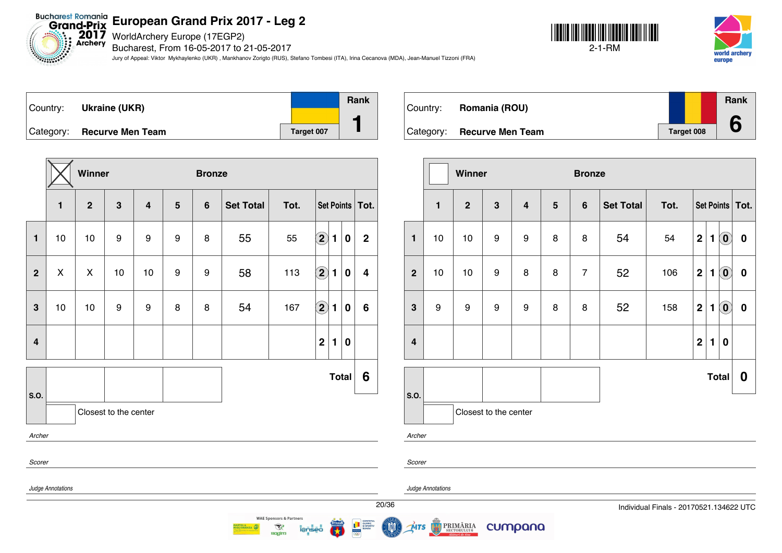Bucharest Romania<br>Grand-Prix European Grand Prix 20<br>Archery Bucharchery Europe (17EGP2)

Bucharest, From 16-05-2017 to 21-05-2017

Jury of Appeal: Viktor Mykhaylenko (UKR) , Mankhanov Zorigto (RUS), Stefano Tombesi (ITA), Irina Cecanova (MDA), Jean-Manuel Tizzoni (FRA)







|                         |                   | Winner         |                       |                |   | <b>Bronze</b>  |                  |      |                            |              |              |                         |
|-------------------------|-------------------|----------------|-----------------------|----------------|---|----------------|------------------|------|----------------------------|--------------|--------------|-------------------------|
|                         | $\mathbf{1}$      | $\overline{2}$ | $\mathbf{3}$          | $\overline{4}$ | 5 | $6\phantom{1}$ | <b>Set Total</b> | Tot. |                            |              |              | Set Points   Tot.       |
| $\mathbf{1}$            | 10                | 10             | 9                     | 9              | 9 | 8              | 55               | 55   | $\left( \mathbf{2}\right)$ | 1            | $\bf{0}$     | $\mathbf 2$             |
| $\overline{2}$          | $\pmb{\times}$    | X              | 10                    | 10             | 9 | 9              | 58               | 113  | $\left( \mathbf{2}\right)$ | 1            | 0            | $\overline{\mathbf{4}}$ |
| 3                       | 10                | 10             | $\boldsymbol{9}$      | 9              | 8 | 8              | 54               | 167  | $\Large{\textbf{2}}$       | 1            | $\bf{0}$     | $\boldsymbol{6}$        |
| $\overline{\mathbf{4}}$ |                   |                |                       |                |   |                |                  |      | $\overline{2}$             | $\mathbf{1}$ | $\bf{0}$     |                         |
| S.O.                    |                   |                |                       |                |   |                |                  |      |                            |              | <b>Total</b> | 6                       |
|                         |                   |                | Closest to the center |                |   |                |                  |      |                            |              |              |                         |
| Archer                  |                   |                |                       |                |   |                |                  |      |                            |              |              |                         |
| Scorer                  |                   |                |                       |                |   |                |                  |      |                            |              |              |                         |
|                         | Judge Annotations |                |                       |                |   |                |                  |      |                            |              |              |                         |
|                         |                   |                |                       |                |   |                |                  |      |                            |              |              |                         |

 $\mathcal{R}$ 

**Ragim** 

| Country: | Romania (ROU)              |            | Rank |
|----------|----------------------------|------------|------|
|          | Category: Recurve Men Team | Target 008 |      |

|                         |                       | Winner         |                  |                         |         | <b>Bronze</b>  |                  |      |                |                |                            |                   |  |
|-------------------------|-----------------------|----------------|------------------|-------------------------|---------|----------------|------------------|------|----------------|----------------|----------------------------|-------------------|--|
|                         | $\mathbf{1}$          | $\overline{2}$ | $\mathbf{3}$     | $\overline{\mathbf{4}}$ | $\bf 5$ | $6\phantom{1}$ | <b>Set Total</b> | Tot. |                |                |                            | Set Points   Tot. |  |
| $\mathbf{1}$            | 10                    | 10             | $\boldsymbol{9}$ | 9                       | 8       | 8              | 54               | 54   | $\mathbf 2$    | 1              | $\left( \mathbf{0}\right)$ | $\mathbf 0$       |  |
| $\overline{2}$          | 10                    | 10             | $\boldsymbol{9}$ | 8                       | 8       | $\overline{7}$ | 52               | 106  | $\mathbf 2$    | 1              | $\left( \mathbf{0}\right)$ | $\pmb{0}$         |  |
| $\mathbf{3}$            | $\boldsymbol{9}$      | 9              | $\boldsymbol{9}$ | 9                       | 8       | 8              | 52               | 158  | $\mathbf 2$    | 1              | $\left( \mathbf{0}\right)$ | $\pmb{0}$         |  |
| $\overline{\mathbf{4}}$ |                       |                |                  |                         |         |                |                  |      | $\overline{2}$ | $\blacksquare$ | $\bf{0}$                   |                   |  |
|                         |                       |                |                  |                         |         |                |                  |      |                |                | <b>Total</b>               | 0                 |  |
| S.O.                    | Closest to the center |                |                  |                         |         |                |                  |      |                |                |                            |                   |  |

*Archer*

*Scorer*

MTS

*Judge Annotations*

**PRIMĂRIA** 

cumpana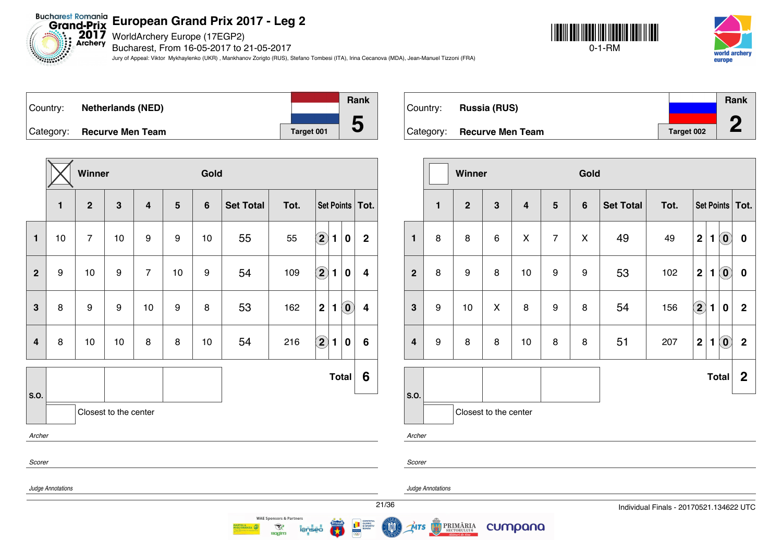Bucharest Romania<br>Grand-Prix European Grand Prix 20<br>Archery Bucharchery Europe (17EGP2)

Bucharest, From 16-05-2017 to 21-05-2017

Jury of Appeal: Viktor Mykhaylenko (UKR) , Mankhanov Zorigto (RUS), Stefano Tombesi (ITA), Irina Cecanova (MDA), Jean-Manuel Tizzoni (FRA)





|           |                          |            | <b>Rank</b> |
|-----------|--------------------------|------------|-------------|
| Country:  | <b>Netherlands (NED)</b> |            |             |
| Category: | <b>Recurve Men Team</b>  | Target 001 | b           |

|                | $\mathbf{1}$      | $\mathbf{2}$   | $\mathbf{3}$          | $\overline{4}$ | 5  | $6\phantom{1}$ | <b>Set Total</b> | Tot. |                            |   | Set Points                 | Tot.                    |
|----------------|-------------------|----------------|-----------------------|----------------|----|----------------|------------------|------|----------------------------|---|----------------------------|-------------------------|
| $\blacksquare$ | 10                | $\overline{7}$ | 10                    | 9              | 9  | 10             | 55               | 55   | $\Large 2$                 | 1 | $\bf{0}$                   | $\overline{2}$          |
| $\overline{2}$ | 9                 | 10             | 9                     | $\overline{7}$ | 10 | 9              | 54               | 109  | $\left( \mathbf{2}\right)$ | 1 | $\bf{0}$                   | 4                       |
| 3              | 8                 | 9              | 9                     | 10             | 9  | 8              | 53               | 162  | $\mathbf 2$                | 1 | $\left( \mathbf{0}\right)$ | $\overline{\mathbf{4}}$ |
| 4              | 8                 | 10             | 10                    | 8              | 8  | 10             | 54               | 216  | $\bm{2}$                   | 1 | $\bf{0}$                   | 6                       |
| S.O.           |                   |                |                       |                |    |                |                  |      |                            |   | Total                      | 6                       |
|                |                   |                | Closest to the center |                |    |                |                  |      |                            |   |                            |                         |
| Archer         |                   |                |                       |                |    |                |                  |      |                            |   |                            |                         |
| Scorer         |                   |                |                       |                |    |                |                  |      |                            |   |                            |                         |
|                | Judge Annotations |                |                       |                |    |                |                  |      |                            |   |                            |                         |

 $\mathcal{R}$ 

**Ragim** 

|          |                            |            | <b>Rank</b> |
|----------|----------------------------|------------|-------------|
| Country: | <b>Russia (RUS)</b>        |            |             |
|          |                            |            | ∕∩          |
|          | Category: Recurve Men Team | Target 002 |             |

|                         |                | Winner         |                       |                         |                 | Gold           |                  |      |                    |   |                            |                   |
|-------------------------|----------------|----------------|-----------------------|-------------------------|-----------------|----------------|------------------|------|--------------------|---|----------------------------|-------------------|
|                         | $\blacksquare$ | $\overline{2}$ | $\mathbf{3}$          | $\overline{\mathbf{4}}$ | $5\phantom{.0}$ | $6\phantom{1}$ | <b>Set Total</b> | Tot. |                    |   |                            | Set Points   Tot. |
| $\mathbf{1}$            | 8              | 8              | $\,6$                 | X                       | $\overline{7}$  | Χ              | 49               | 49   | $\mathbf 2$        | 1 | $\left( \mathbf{0}\right)$ | $\boldsymbol{0}$  |
| $\overline{2}$          | 8              | 9              | 8                     | 10                      | 9               | 9              | 53               | 102  | $\mathbf 2$        | 1 | $\left( \mathbf{0}\right)$ | $\pmb{0}$         |
| $\mathbf{3}$            | 9              | 10             | X                     | 8                       | 9               | 8              | 54               | 156  | $\bf \overline{2}$ | 1 | $\bf{0}$                   | $\mathbf{2}$      |
| $\overline{\mathbf{4}}$ | 9              | 8              | 8                     | 10                      | 8               | 8              | 51               | 207  | $\mathbf 2$        | 1 | $\left( \mathbf{0}\right)$ | $\mathbf{2}$      |
|                         |                |                |                       |                         |                 |                |                  |      |                    |   | <b>Total</b>               | $\mathbf 2$       |
| S.O.                    |                |                | Closest to the center |                         |                 |                |                  |      |                    |   |                            |                   |
| Archer                  |                |                |                       |                         |                 |                |                  |      |                    |   |                            |                   |

*Scorer*

*Judge Annotations*

cumpana

**PRIMĂRIA** MTS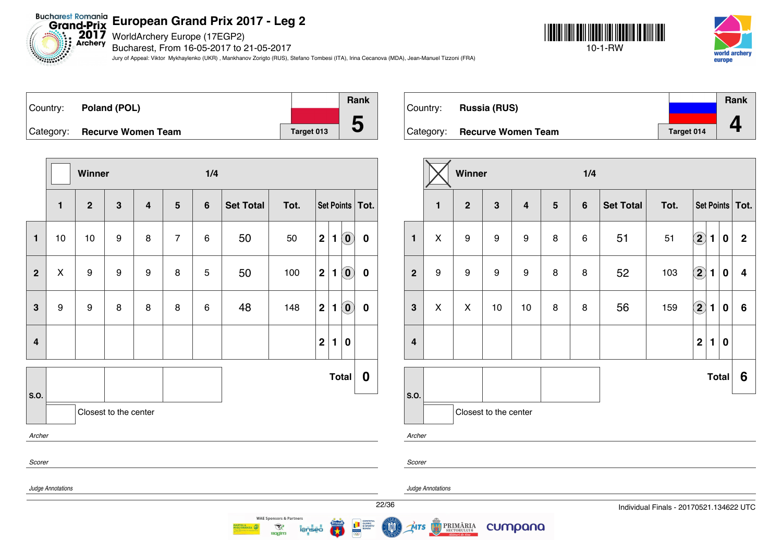**2017** WorldArchery Europe (17EGP2)

Bucharest, From 16-05-2017 to 21-05-2017

Jury of Appeal: Viktor Mykhaylenko (UKR) , Mankhanov Zorigto (RUS), Stefano Tombesi (ITA), Irina Cecanova (MDA), Jean-Manuel Tizzoni (FRA)





| Country: | Poland (POL)                 |            | Rank     |
|----------|------------------------------|------------|----------|
|          |                              |            |          |
|          | Category: Recurve Women Team | Target 013 | $\bf{5}$ |

**Winner 1/4 1 2 3 4 5 6 Set Total Tot. Set Points Tot. 1** 10 10 9 8 7 6 50 50 **2 1 0 0 2** X 9 9 9 8 5 50 100 **2 1 0 0 3** 9 9 8 8 8 6 48 148 **2 1 0 0 4 2 1 0 Total 0 S.O.** Closest to the center *Archer Scorer Judge Annotations* **WAE Sponsors & Partners** 

 $\mathcal{R}$ 

**Ragim** 

| Country: | <b>Russia (RUS)</b>          |                   | Rank |
|----------|------------------------------|-------------------|------|
|          | Category: Recurve Women Team | <b>Target 014</b> |      |

|                         |              | Winner         |                       |                         |                 | 1/4     |                  |      |                            |              |                  |                   |
|-------------------------|--------------|----------------|-----------------------|-------------------------|-----------------|---------|------------------|------|----------------------------|--------------|------------------|-------------------|
|                         | $\mathbf{1}$ | $\overline{2}$ | $\mathbf{3}$          | $\overline{\mathbf{4}}$ | $5\phantom{.0}$ | $\bf 6$ | <b>Set Total</b> | Tot. |                            |              |                  | Set Points   Tot. |
| $\mathbf{1}$            | X            | 9              | 9                     | $\boldsymbol{9}$        | 8               | 6       | 51               | 51   | $\left( \bf{2}\right)$     | $\mathbf{1}$ | $\boldsymbol{0}$ | $\mathbf{2}$      |
| $\overline{2}$          | 9            | 9              | 9                     | $\boldsymbol{9}$        | 8               | 8       | 52               | 103  | $\left( \mathbf{2}\right)$ | $\mathbf{1}$ | $\bf{0}$         | 4                 |
| 3                       | X            | X              | 10                    | 10                      | 8               | 8       | 56               | 159  | $\left( 2\right)$          | $\mathbf{1}$ | $\bf{0}$         | 6                 |
| $\overline{\mathbf{4}}$ |              |                |                       |                         |                 |         |                  |      | $\mathbf 2$                | 1            | $\bf{0}$         |                   |
|                         |              |                |                       |                         |                 |         |                  |      |                            |              | <b>Total</b>     | 6                 |
| S.O.                    |              |                | Closest to the center |                         |                 |         |                  |      |                            |              |                  |                   |
| Archer                  |              |                |                       |                         |                 |         |                  |      |                            |              |                  |                   |

*Scorer*

*Judge Annotations*



cumpana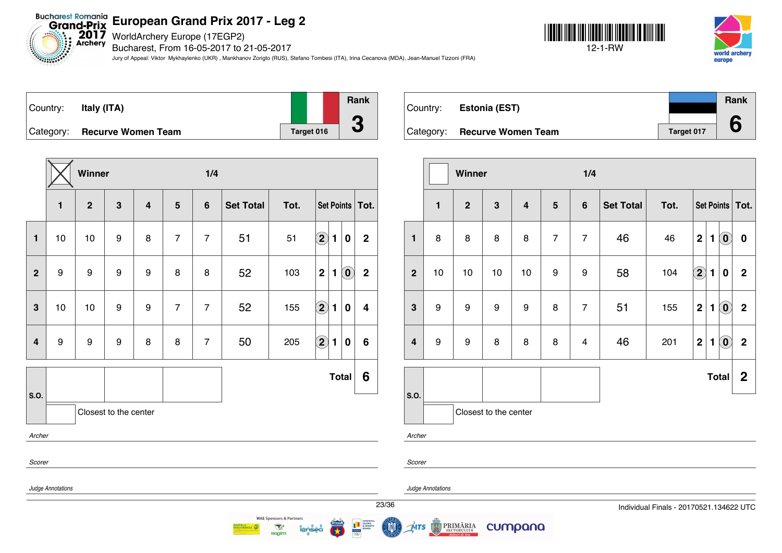WorldArchery Europe (17EGP2)

Bucharest, From 16-05-2017 to 21-05-2017

Jury of Appeal: Viktor Mykhaylenko (UKR) , Mankhanov Zorigto (RUS), Stefano Tombesi (ITA), Irina Cecanova (MDA), Jean-Manuel Tizzoni (FRA)





| Country: | Italy (ITA)                  |            | Rank                     |
|----------|------------------------------|------------|--------------------------|
|          |                              |            |                          |
|          | Category: Recurve Women Team | Target 016 | $\overline{\phantom{a}}$ |

|                         |                   | Winner         |                       |                         |                | 1/4            |                  |                                    |                         |                |                                                |                         |  |
|-------------------------|-------------------|----------------|-----------------------|-------------------------|----------------|----------------|------------------|------------------------------------|-------------------------|----------------|------------------------------------------------|-------------------------|--|
|                         | $\mathbf{1}$      | $\overline{2}$ | $\mathbf{3}$          | $\overline{\mathbf{4}}$ | 5              | $6\phantom{1}$ | <b>Set Total</b> | Tot.                               |                         |                |                                                | Set Points Tot.         |  |
| $\mathbf{1}$            | 10                | 10             | 9                     | 8                       | $\overline{7}$ | $\overline{7}$ | 51               | 51                                 | $\bf \overline{2}$      | $\blacksquare$ | $\bf{0}$                                       | $\mathbf 2$             |  |
| $\overline{2}$          | 9                 | 9              | $\boldsymbol{9}$      | 9                       | 8              | 8              | 52               | 103                                | $\mathbf 2$             | 1              | $\left( \begin{matrix} 0 \end{matrix} \right)$ | $\overline{2}$          |  |
| 3                       | 10                | 10             | 9                     | 9                       | $\overline{7}$ | $\overline{7}$ | 52               | 155                                | $\Omega$                | 1              | $\bf{0}$                                       | $\overline{\mathbf{4}}$ |  |
| $\overline{\mathbf{4}}$ | 9                 | 9              | $\boldsymbol{9}$      | 8                       | 8              | $\overline{7}$ | 50               | 205                                | $\overline{\mathbf{2}}$ | 1              | $\bf{0}$                                       | $6\phantom{1}6$         |  |
| S.O.                    |                   |                |                       |                         |                |                |                  |                                    |                         |                | <b>Total</b>                                   | 6                       |  |
|                         |                   |                | Closest to the center |                         |                |                |                  |                                    |                         |                |                                                |                         |  |
| Archer                  |                   |                |                       |                         |                |                |                  |                                    |                         |                |                                                |                         |  |
| Scorer                  |                   |                |                       |                         |                |                |                  |                                    |                         |                |                                                |                         |  |
|                         | Judge Annotations |                |                       |                         |                |                |                  |                                    |                         |                |                                                |                         |  |
|                         |                   |                |                       |                         |                |                |                  | <b>WAF Sponsors &amp; Partners</b> |                         |                |                                                |                         |  |

 $\mathcal{R}$ 

| Country:  | Estonia (EST)             |            | Rank |  |
|-----------|---------------------------|------------|------|--|
| Category: | <b>Recurve Women Team</b> | Target 017 |      |  |

|                         |                       | Winner         |                  |    |                | 1/4            |                  |      |                         |              |                            |              |
|-------------------------|-----------------------|----------------|------------------|----|----------------|----------------|------------------|------|-------------------------|--------------|----------------------------|--------------|
|                         | $\mathbf{1}$          | $\overline{2}$ | $\mathbf{3}$     | 4  | $5\phantom{1}$ | $6\phantom{1}$ | <b>Set Total</b> | Tot. | Set Points   Tot.       |              |                            |              |
| $\mathbf{1}$            | 8                     | 8              | 8                | 8  | $\overline{7}$ | $\overline{7}$ | 46               | 46   | $\mathbf 2$             | 1            | $\odot$                    | $\pmb{0}$    |
| $\overline{2}$          | 10                    | 10             | 10               | 10 | 9              | 9              | 58               | 104  | $\bigcirc$              | 1            | 0                          | $\mathbf 2$  |
| $\mathbf{3}$            | 9                     | 9              | $\boldsymbol{9}$ | 9  | 8              | $\overline{7}$ | 51               | 155  | $\overline{\mathbf{2}}$ | 1            | $\left( \mathbf{0}\right)$ | $\mathbf{2}$ |
| $\overline{\mathbf{4}}$ | 9                     | 9              | 8                | 8  | 8              | 4              | 46               | 201  | $\mathbf 2$             | $\mathbf{1}$ | $\left( \mathbf{0}\right)$ | $\mathbf 2$  |
|                         |                       |                |                  |    |                |                |                  |      |                         |              | Total                      | $\mathbf{2}$ |
| S.O.                    | Closest to the center |                |                  |    |                |                |                  |      |                         |              |                            |              |
| Archer                  |                       |                |                  |    |                |                |                  |      |                         |              |                            |              |

*Scorer*

**MTS** 

*Judge Annotations*

PRIMĂRIA

cumpana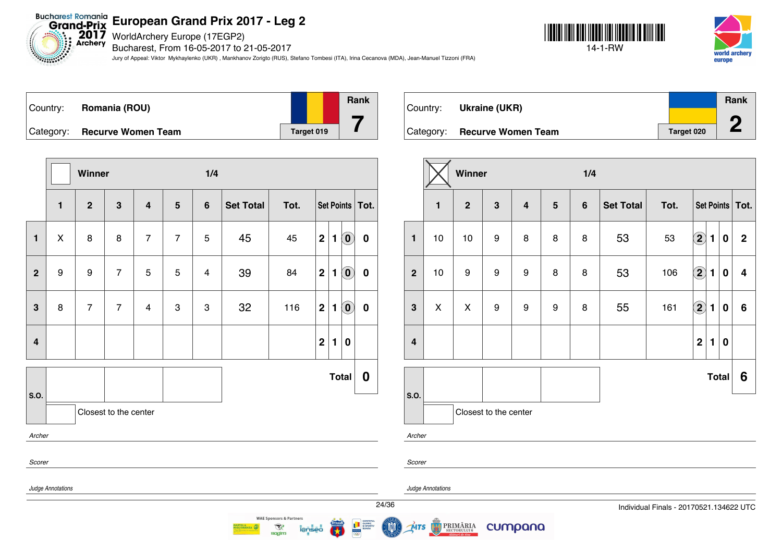$2017$ <br>Archery WorldArchery Europe (17EGP2)

Bucharest, From 16-05-2017 to 21-05-2017

Jury of Appeal: Viktor Mykhaylenko (UKR) , Mankhanov Zorigto (RUS), Stefano Tombesi (ITA), Irina Cecanova (MDA), Jean-Manuel Tizzoni (FRA)





| Country:  | <b>Romania (ROU)</b>      |            | Rank |
|-----------|---------------------------|------------|------|
| Category: | <b>Recurve Women Team</b> | Target 019 |      |

**Winner 1/4 1 2 3 4 5 6 Set Total Tot. Set Points Tot. 1** X 8 8 7 7 5 45 45 **2 1 0 0 2** 9 9 7 5 5 4 39 84 **2 1 0 0 3** 8 7 7 4 3 3 32 116 **2 1 0 0 4 2 1 0 Total 0 S.O.** Closest to the center *Archer Scorer Judge Annotations* **WAE Sponsors & Partners** 

| Country: | Ukraine (UKR)                |            | Rank |
|----------|------------------------------|------------|------|
|          |                              |            | ∕∩   |
|          | Category: Recurve Women Team | Target 020 |      |

|                         |                                              | Winner           |                       |                         |                 | 1/4            |                  |      |                            |                |              |                   |
|-------------------------|----------------------------------------------|------------------|-----------------------|-------------------------|-----------------|----------------|------------------|------|----------------------------|----------------|--------------|-------------------|
|                         | $\mathbf{2}$<br>$\mathbf{3}$<br>$\mathbf{1}$ |                  |                       | $\overline{\mathbf{4}}$ | $5\phantom{.0}$ | $6\phantom{1}$ | <b>Set Total</b> | Tot. |                            |                |              | Set Points   Tot. |
| $\mathbf{1}$            | 10                                           | 10               | $\boldsymbol{9}$      | 8                       | 8               | 8              | 53               | 53   | $\bigcirc \!\! \! 2$       | $\blacksquare$ | $\bf{0}$     | $\mathbf{2}$      |
| $\overline{2}$          | 10                                           | $\boldsymbol{9}$ | 9                     | 9                       | 8               | 8              | 53               | 106  | $\bigcirc$                 | 1              | $\bf{0}$     | 4                 |
| 3                       | X                                            | X                | 9                     | 9                       | 9               | 8              | 55               | 161  | $\left( \mathbf{2}\right)$ | $\mathbf{1}$   | $\bf{0}$     | 6                 |
| $\overline{\mathbf{4}}$ |                                              |                  |                       |                         |                 |                |                  |      | $\mathbf 2$                | 1              | $\bf{0}$     |                   |
|                         |                                              |                  |                       |                         |                 |                |                  |      |                            |                | <b>Total</b> | 6                 |
| S.O.                    |                                              |                  | Closest to the center |                         |                 |                |                  |      |                            |                |              |                   |

*Archer*

*Scorer*

*Judge Annotations*

**MTS** 

PRIMĂRIA

cumpana



 $\mathcal{R}$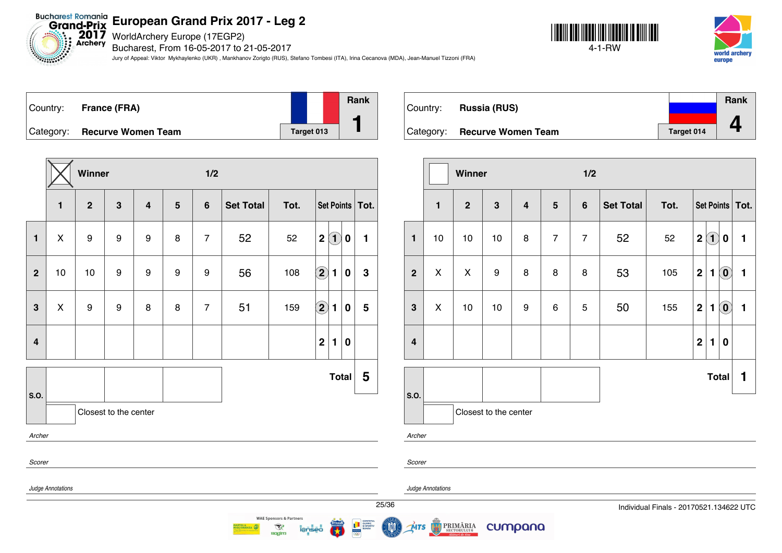**2017** WorldArchery Europe (17EGP2)

Bucharest, From 16-05-2017 to 21-05-2017

Jury of Appeal: Viktor Mykhaylenko (UKR) , Mankhanov Zorigto (RUS), Stefano Tombesi (ITA), Irina Cecanova (MDA), Jean-Manuel Tizzoni (FRA)





| ⊺Country: | France (FRA)                 |            | Rank |
|-----------|------------------------------|------------|------|
|           | Category: Recurve Women Team | Target 013 |      |

**Winner 1/2 1 2 3 4 5 6 Set Total Tot. Set Points Tot. 1** X 9 9 9 8 7 52 52 **2 1 0 1 2** 10 10 9 9 9 9 56 108 **2 1 0 3 3** X 9 9 8 8 7 51 159 **2 1 0 5 4 2 1 0 S.O. Total 5** Closest to the center *Archer Scorer Judge Annotations*

|          |                              |            | Rank |
|----------|------------------------------|------------|------|
| Country: | <b>Russia (RUS)</b>          |            |      |
|          |                              |            |      |
|          | Category: Recurve Women Team | Target 014 |      |

|                         |                | Winner       |                       |                         |                | 1/2            |                  |      |                                  |                                            |  |  |
|-------------------------|----------------|--------------|-----------------------|-------------------------|----------------|----------------|------------------|------|----------------------------------|--------------------------------------------|--|--|
|                         | $\blacksquare$ | $\mathbf{2}$ | $\mathbf{3}$          | $\overline{\mathbf{4}}$ | $5\phantom{1}$ | $6\phantom{1}$ | <b>Set Total</b> | Tot. |                                  | Set Points   Tot.                          |  |  |
| 1                       | 10             | 10           | 10                    | 8                       | $\overline{7}$ | $\overline{7}$ | 52               | 52   | $\mathbf 2$<br>$\bf(1)$          | 1<br>$\bf{0}$                              |  |  |
| $\overline{2}$          | X              | X            | $\boldsymbol{9}$      | 8                       | 8              | 8              | 53               | 105  | $\mathbf 2$<br>1                 | $\ddot{\mathbf{0}}$<br>$\mathbf{1}$        |  |  |
| 3                       | X              | 10           | 10                    | 9                       | 6              | 5              | 50               | 155  | $\mathbf{2}$<br>1                | $\left( \mathbf{0}\right)$<br>$\mathbf{1}$ |  |  |
| $\overline{\mathbf{4}}$ |                |              |                       |                         |                |                |                  |      | $\overline{2}$<br>$\blacksquare$ | $\bf{0}$                                   |  |  |
|                         |                |              |                       |                         |                |                |                  |      | <b>Total</b>                     | 1                                          |  |  |
| s.o.                    |                |              | Closest to the center |                         |                |                |                  |      |                                  |                                            |  |  |

*Archer*

*Scorer*

*Judge Annotations*

MTS

**PRIMĂRIA** 

cumpana



**WAE Sponsors & Partners** 

 $\mathcal{R}$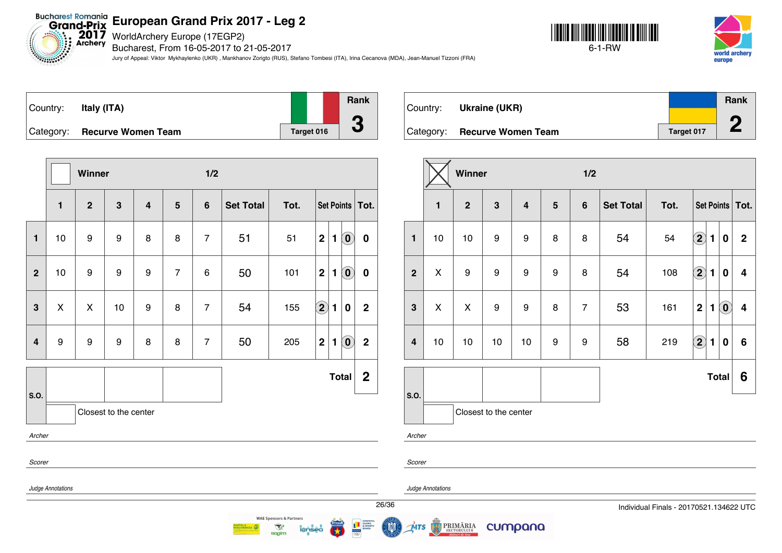WorldArchery Europe (17EGP2)

Bucharest, From 16-05-2017 to 21-05-2017

Jury of Appeal: Viktor Mykhaylenko (UKR) , Mankhanov Zorigto (RUS), Stefano Tombesi (ITA), Irina Cecanova (MDA), Jean-Manuel Tizzoni (FRA)

 $\mathcal{R}$ 

**ROGIT** 





| Country:  | Italy (ITA)               |            | Rank                     |
|-----------|---------------------------|------------|--------------------------|
|           |                           |            |                          |
| Category: | <b>Recurve Women Team</b> | Target 016 | $\overline{\phantom{a}}$ |

|                |                   | Winner         |                       |                |                | 1/2            |                  |      |                                                                       |                |
|----------------|-------------------|----------------|-----------------------|----------------|----------------|----------------|------------------|------|-----------------------------------------------------------------------|----------------|
|                | $\mathbf{1}$      | $\overline{2}$ | $\mathbf{3}$          | $\overline{4}$ | $5\phantom{1}$ | $6\phantom{1}$ | <b>Set Total</b> | Tot. | <b>Set Points</b>                                                     | Tot.           |
| $\blacksquare$ | 10                | 9              | 9                     | 8              | 8              | $\overline{7}$ | 51               | 51   | $\mathbf 2$<br>$\mathbf{1}$<br>$\left( \mathbf{0}\right)$             | $\bf{0}$       |
| $\overline{2}$ | 10                | 9              | $\boldsymbol{9}$      | 9              | $\overline{7}$ | 6              | 50               | 101  | $\overline{\mathbf{2}}$<br>$\left( \mathbf{0}\right)$<br>$\mathbf{1}$ | $\bf{0}$       |
| 3              | X                 | X              | 10                    | 9              | 8              | $\overline{7}$ | 54               | 155  | $\left( 2\right)$<br>$\blacksquare$<br>0                              | $\overline{2}$ |
| $\overline{4}$ | 9                 | 9              | 9                     | 8              | 8              | $\overline{7}$ | 50               | 205  | $\mathbf 2$<br>$\mathbf{1}$<br>$\left( \mathbf{0}\right)$             | $\mathbf 2$    |
|                |                   |                |                       |                |                |                |                  |      | <b>Total</b>                                                          | $\mathbf 2$    |
| S.O.           |                   |                | Closest to the center |                |                |                |                  |      |                                                                       |                |
| Archer         |                   |                |                       |                |                |                |                  |      |                                                                       |                |
| Scorer         |                   |                |                       |                |                |                |                  |      |                                                                       |                |
|                | Judge Annotations |                |                       |                |                |                |                  |      |                                                                       |                |
|                |                   |                |                       |                |                |                |                  |      |                                                                       | 26/            |

| Country: | Ukraine (UKR)                |            | Rank              |
|----------|------------------------------|------------|-------------------|
|          |                              | Target 017 | <b>CONTRACTOR</b> |
|          | Category: Recurve Women Team |            |                   |

|                         |                       | Winner           |                  |                         |                | 1/2            |                  |                           |                      |                |                            |                         |
|-------------------------|-----------------------|------------------|------------------|-------------------------|----------------|----------------|------------------|---------------------------|----------------------|----------------|----------------------------|-------------------------|
|                         | $\mathbf{1}$          | $\mathbf{2}$     | $\mathbf{3}$     | $\overline{\mathbf{4}}$ | $5\phantom{1}$ | $\bf 6$        | <b>Set Total</b> | Tot.<br>Set Points   Tot. |                      |                |                            |                         |
| $\mathbf{1}$            | 10                    | 10               | $\boldsymbol{9}$ | $\boldsymbol{9}$        | 8              | 8              | 54               | 54                        | $\mathbf{2}$         | $\blacksquare$ | 0                          | $\mathbf 2$             |
| $\boldsymbol{2}$        | X                     | $\boldsymbol{9}$ | $\boldsymbol{9}$ | $\boldsymbol{9}$        | 9              | 8              | 54               | 108                       | $\Large{\textbf{2}}$ | $\mathbf{1}$   | 0                          | 4                       |
| $\mathbf{3}$            | $\mathsf{X}$          | X                | $\boldsymbol{9}$ | $\boldsymbol{9}$        | 8              | $\overline{7}$ | 53               | 161                       | $\mathbf 2$          | $\blacksquare$ | $\left( \mathbf{0}\right)$ | $\overline{\mathbf{4}}$ |
| $\overline{\mathbf{4}}$ | 10                    | 10               | 10               | 10                      | 9              | 9              | 58               | 219                       | $\mathbf{2}$         | 1              | 0                          | $\bf 6$                 |
|                         |                       |                  |                  |                         |                |                |                  |                           |                      | <b>Total</b>   |                            | 6                       |
| S.O.                    | Closest to the center |                  |                  |                         |                |                |                  |                           |                      |                |                            |                         |
| Archer                  |                       |                  |                  |                         |                |                |                  |                           |                      |                |                            |                         |

*Scorer*

**MTS** 

*Judge Annotations*

**PRIMĂRIA**<br>SECTORULUI 6

cumpana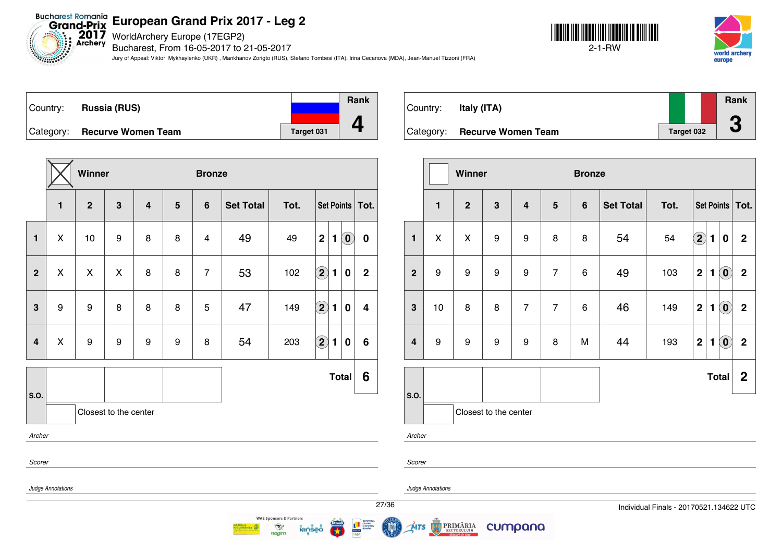Bucharest Romania<br>Grand-Prix European Grand Prix 20<br>Exchery Bucharest. From 16-05-2017 to 2

Bucharest, From 16-05-2017 to 21-05-2017

Jury of Appeal: Viktor Mykhaylenko (UKR) , Mankhanov Zorigto (RUS), Stefano Tombesi (ITA), Irina Cecanova (MDA), Jean-Manuel Tizzoni (FRA)

 $\mathcal{R}$ 

**Ragim** 





| Country:  | <b>Russia (RUS)</b>       |            | <b>Rank</b> |
|-----------|---------------------------|------------|-------------|
|           |                           |            |             |
| Category: | <b>Recurve Women Team</b> | Target 031 |             |

|                |                   | Winner       |                       |                         |                | <b>Bronze</b>           |                  |      |                                                              |                         |
|----------------|-------------------|--------------|-----------------------|-------------------------|----------------|-------------------------|------------------|------|--------------------------------------------------------------|-------------------------|
|                | $\mathbf{1}$      | $\mathbf{2}$ | $\mathbf{3}$          | $\overline{\mathbf{4}}$ | $5\phantom{1}$ | $6\phantom{1}$          | <b>Set Total</b> | Tot. | Set Points                                                   | Tot.                    |
| $\mathbf{1}$   | X                 | 10           | 9                     | 8                       | 8              | $\overline{\mathbf{4}}$ | 49               | 49   | $\overline{2}$<br>$\left( \mathbf{0}\right)$<br>$\mathbf{1}$ | $\bf{0}$                |
| $\overline{2}$ | X                 | X            | X                     | 8                       | 8              | $\overline{7}$          | 53               | 102  | $\bf (2)$<br>1<br>0                                          | $\mathbf 2$             |
| 3              | 9                 | 9            | 8                     | 8                       | 8              | 5                       | 47               | 149  | $\bf (2)$<br>$\mathbf{1}$<br>0                               | $\overline{\mathbf{4}}$ |
| 4              | X                 | 9            | 9                     | 9                       | 9              | 8                       | 54               | 203  | $\bf (2)$<br>1<br>0                                          | 6                       |
|                |                   |              |                       |                         |                |                         |                  |      | <b>Total</b>                                                 | 6                       |
| S.O.           |                   |              | Closest to the center |                         |                |                         |                  |      |                                                              |                         |
| Archer         |                   |              |                       |                         |                |                         |                  |      |                                                              |                         |
| Scorer         |                   |              |                       |                         |                |                         |                  |      |                                                              |                         |
|                | Judge Annotations |              |                       |                         |                |                         |                  |      |                                                              |                         |
|                |                   |              |                       |                         |                |                         |                  |      |                                                              | $\overline{27}$         |



|                         |                                                                           | Winner                     |   |                |                | <b>Bronze</b>  |                  |      |             |              |                                                |                  |
|-------------------------|---------------------------------------------------------------------------|----------------------------|---|----------------|----------------|----------------|------------------|------|-------------|--------------|------------------------------------------------|------------------|
|                         | $\mathbf{1}$<br>$\overline{2}$<br>$\mathbf{3}$<br>$\overline{\mathbf{4}}$ |                            |   |                | $5\phantom{1}$ | $6\phantom{1}$ | <b>Set Total</b> | Tot. |             |              | Set Points                                     | Tot.             |
| $\mathbf{1}$            | X                                                                         | X                          | 9 | 9              | 8              | 8              | 54               | 54   | $\Large 2$  | 1            | 0                                              | $\mathbf 2$      |
| $\mathbf{2}$            | 9                                                                         | $\boldsymbol{9}$<br>9<br>9 |   |                |                | 6              | 49               | 103  | $\mathbf 2$ | 1            | $\odot$                                        | $\boldsymbol{2}$ |
| 3                       | 10                                                                        | 8                          | 8 | $\overline{7}$ | $\overline{7}$ | 6              | 46               | 149  | $\mathbf 2$ | 1            | $\tilde{(\mathbf{0})}$                         | $\mathbf 2$      |
| $\overline{\mathbf{4}}$ | 9                                                                         | 9                          | 9 | 9              | 8              | M              | 44               | 193  | $\mathbf 2$ | 1            | $\left( \begin{matrix} 0 \end{matrix} \right)$ | $\mathbf 2$      |
|                         |                                                                           |                            |   |                |                |                |                  |      |             | <b>Total</b> |                                                | $\boldsymbol{2}$ |
| S.O.                    |                                                                           | Closest to the center      |   |                |                |                |                  |      |             |              |                                                |                  |
| Archer                  |                                                                           |                            |   |                |                |                |                  |      |             |              |                                                |                  |

*Scorer*

MTS

*Judge Annotations*

**PRIMĂRIA** 

cumpana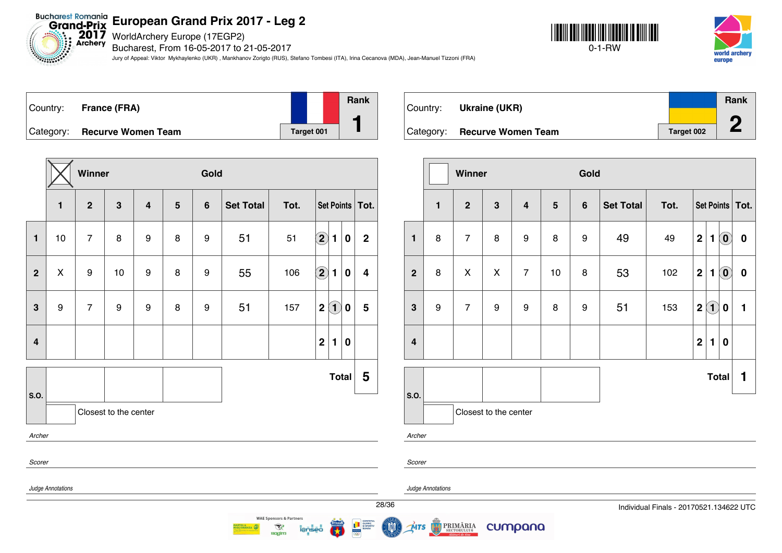Bucharest Romania<br>Grand-Prix European Grand Prix 20<br>Archery Bucharchery Europe (17EGP2)

Bucharest, From 16-05-2017 to 21-05-2017

Jury of Appeal: Viktor Mykhaylenko (UKR) , Mankhanov Zorigto (RUS), Stefano Tombesi (ITA), Irina Cecanova (MDA), Jean-Manuel Tizzoni (FRA)







|                         |                   | Winner           |                       |                         |                | Gold             |                  |      |                                                       |                |
|-------------------------|-------------------|------------------|-----------------------|-------------------------|----------------|------------------|------------------|------|-------------------------------------------------------|----------------|
|                         | $\mathbf{1}$      | $\mathbf{2}$     | 3                     | $\overline{\mathbf{4}}$ | $5\phantom{1}$ | $\bf 6$          | <b>Set Total</b> | Tot. | Set Points   Tot.                                     |                |
| $\mathbf{1}$            | 10                | $\overline{7}$   | 8                     | $\boldsymbol{9}$        | 8              | 9                | 51               | 51   | $\bf \overline{2}$<br>$\mathbf{1}$<br>$\bf{0}$        | $\overline{2}$ |
| $\overline{2}$          | $\pmb{\times}$    | $\boldsymbol{9}$ | 10                    | 9                       | 8              | $\boldsymbol{9}$ | 55               | 106  | $\bf \overline{2}$<br>$\mathbf{1}$<br>$\bf{0}$        | 4              |
| $\overline{\mathbf{3}}$ | 9                 | $\overline{7}$   | 9                     | $\boldsymbol{9}$        | 8              | 9                | 51               | 157  | $\left( \mathbf{1}\right)$<br>$\mathbf 2$<br>$\bf{0}$ | 5              |
| $\overline{\mathbf{4}}$ |                   |                  |                       |                         |                |                  |                  |      | $\overline{2}$<br>1<br>$\bf{0}$                       |                |
| S.O.                    |                   |                  |                       |                         |                |                  |                  |      | <b>Total</b>                                          | 5              |
|                         |                   |                  | Closest to the center |                         |                |                  |                  |      |                                                       |                |
| Archer                  |                   |                  |                       |                         |                |                  |                  |      |                                                       |                |
| Scorer                  |                   |                  |                       |                         |                |                  |                  |      |                                                       |                |
|                         | Judge Annotations |                  |                       |                         |                |                  |                  |      |                                                       |                |
|                         |                   |                  |                       |                         |                |                  |                  |      |                                                       | 28/3           |

**WAE Sponsors & Partners** 

 $\mathcal{R}$ 

**Ragim** 

| Country: | Ukraine (UKR)                |            | Rank |
|----------|------------------------------|------------|------|
|          |                              |            | Л    |
|          | Category: Recurve Women Team | Target 002 |      |

|                         |              | Winner              |                       |                                                              |    | Gold             |      |                   |                |                |                                                |                  |
|-------------------------|--------------|---------------------|-----------------------|--------------------------------------------------------------|----|------------------|------|-------------------|----------------|----------------|------------------------------------------------|------------------|
|                         | $\mathbf{1}$ | $\overline{2}$<br>3 |                       | $\overline{\mathbf{4}}$<br>$5\phantom{.0}$<br>$6\phantom{1}$ |    | <b>Set Total</b> | Tot. | Set Points   Tot. |                |                |                                                |                  |
| $\mathbf{1}$            | 8            | $\overline{7}$      | 8                     | $\boldsymbol{9}$                                             | 8  | 9                | 49   | 49                | $\mathbf{2}$   | $\blacksquare$ | $\left( \mathbf{0}\right)$                     | $\boldsymbol{0}$ |
| $\overline{2}$          | 8            | $\mathsf{x}$        | $\pmb{\times}$        | $\overline{7}$                                               | 10 | 8                | 53   | 102               | $\mathbf{2}$   | 1              | $\left( \begin{matrix} 0 \end{matrix} \right)$ | $\pmb{0}$        |
| $\mathbf{3}$            | 9            | $\overline{7}$      | 9                     | $\boldsymbol{9}$                                             | 8  | 9                | 51   | 153               | $\mathbf 2$    | $\mathbf{I}$   | $\bf{0}$                                       | 1                |
| $\overline{\mathbf{4}}$ |              |                     |                       |                                                              |    |                  |      |                   | $\overline{2}$ | $\blacksquare$ | $\bf{0}$                                       |                  |
|                         |              |                     |                       |                                                              |    |                  |      |                   |                |                | <b>Total</b>                                   | 1                |
| S.O.                    |              |                     | Closest to the center |                                                              |    |                  |      |                   |                |                |                                                |                  |
| Archer                  |              |                     |                       |                                                              |    |                  |      |                   |                |                |                                                |                  |

*Scorer*

MTS

*Judge Annotations*

PRIMĂRIA

cumpana

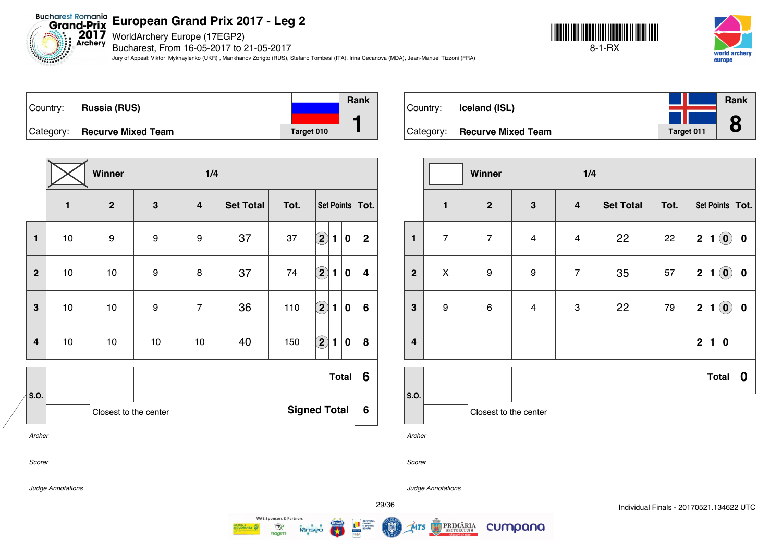$2017$ WorldArchery Europe (17EGP2) **Archery** 

Bucharest, From 16-05-2017 to 21-05-2017

Jury of Appeal: Viktor Mykhaylenko (UKR) , Mankhanov Zorigto (RUS), Stefano Tombesi (ITA), Irina Cecanova (MDA), Jean-Manuel Tizzoni (FRA)







|                         |              | Winner                |              | 1/4                                         |    |                     |                    |              |                  |                         |  |  |
|-------------------------|--------------|-----------------------|--------------|---------------------------------------------|----|---------------------|--------------------|--------------|------------------|-------------------------|--|--|
|                         | $\mathbf{1}$ | $\overline{2}$        | $\mathbf{3}$ | <b>Set Total</b><br>$\overline{\mathbf{4}}$ |    | Tot.                |                    |              |                  | Set Points   Tot.       |  |  |
| 1                       | $10$         | 9                     | 9            | 9                                           | 37 | 37                  | $\bf \Omega$       | $\mathbf{1}$ | $\bf{0}$         | $\overline{2}$          |  |  |
| $\mathbf{2}$            | $10$         | 10                    | 9            | 8                                           | 37 | 74                  | $\bigcirc$         | 1            | $\bf{0}$         | $\overline{\mathbf{4}}$ |  |  |
| $\mathbf{3}$            | $10$         | 10                    | 9            | $\overline{7}$                              | 36 | 110                 | $\boxed{2}$        | 1            | $\boldsymbol{0}$ | 6                       |  |  |
| $\overline{\mathbf{4}}$ | 10           | $10$                  | $10$         | 10                                          | 40 | 150                 | $\bf \overline{2}$ | $\mathbf{1}$ | $\bf{0}$         | 8                       |  |  |
|                         |              |                       |              |                                             |    |                     |                    |              | <b>Total</b>     | $6\phantom{1}6$         |  |  |
| S.O.                    |              | Closest to the center |              |                                             |    | <b>Signed Total</b> |                    |              |                  | 6                       |  |  |
| Archer                  |              |                       |              |                                             |    |                     |                    |              |                  |                         |  |  |
| Scorer                  |              |                       |              |                                             |    |                     |                    |              |                  |                         |  |  |



|                         |                | 1/4<br>Winner         |                         |                           |                  |      |             |              |                            |           |  |  |  |
|-------------------------|----------------|-----------------------|-------------------------|---------------------------|------------------|------|-------------|--------------|----------------------------|-----------|--|--|--|
|                         | $\mathbf{1}$   | $\mathbf 2$           | $\mathbf{3}$            |                           | <b>Set Total</b> | Tot. |             |              | Set Points   Tot.          |           |  |  |  |
| $\mathbf{1}$            | $\overline{7}$ | $\overline{7}$        | $\overline{4}$          | $\overline{\mathbf{4}}$   | 22               | 22   | $\mathbf 2$ | 1            | $\left( \mathbf{0}\right)$ | $\pmb{0}$ |  |  |  |
| $\mathbf 2$             | $\pmb{\times}$ | 9                     | $\boldsymbol{9}$        | $\overline{7}$            | 35               | 57   | $\mathbf 2$ | 1            | $\left( \mathbf{0}\right)$ | $\pmb{0}$ |  |  |  |
| 3                       | 9              | $\,6\,$               | $\overline{\mathbf{4}}$ | $\ensuremath{\mathsf{3}}$ | 22               | 79   | $\mathbf 2$ | 1            | $\left( \mathbf{0}\right)$ | $\pmb{0}$ |  |  |  |
| $\overline{\mathbf{4}}$ |                |                       |                         |                           |                  |      | $\mathbf 2$ | $\mathbf{1}$ | $\bf{0}$                   |           |  |  |  |
|                         |                |                       |                         |                           |                  |      |             |              | <b>Total</b>               | 0         |  |  |  |
| S.O.<br>Archer          |                | Closest to the center |                         |                           |                  |      |             |              |                            |           |  |  |  |

*Scorer*

*Judge Annotations*

*<i><u><b>SERINGS*</u>

*Judge Annotations*

́чтs

PRIMĂRIA

cumpana



**WAE Sponsors & Partners** 

 $\mathcal{R}$ 

**ROGIT**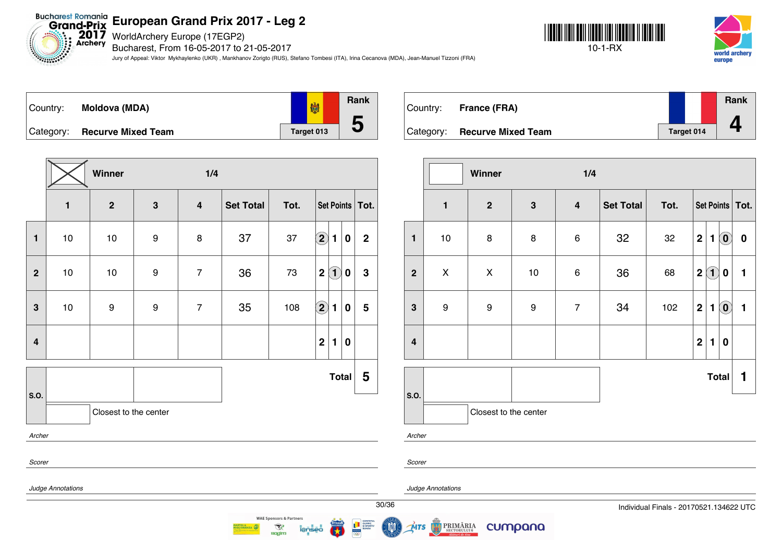Bucharest Romania<br>Grand-Prix European Grand Prix 20<br>Archery Bucharchery Europe (17EGP2)

*Changed Company* 

Bucharest, From 16-05-2017 to 21-05-2017

Jury of Appeal: Viktor Mykhaylenko (UKR) , Mankhanov Zorigto (RUS), Stefano Tombesi (ITA), Irina Cecanova (MDA), Jean-Manuel Tizzoni (FRA)





**Rank** 懒 Country: **Moldova (MDA) 5** Category: **Recurve Mixed Team Target 013** 

|                         |                   | Winner                |                  | 1/4                     |                  |      |                                                       |                |
|-------------------------|-------------------|-----------------------|------------------|-------------------------|------------------|------|-------------------------------------------------------|----------------|
|                         | $\mathbf{1}$      | $\mathbf{2}$          | $\mathbf{3}$     | $\overline{\mathbf{4}}$ | <b>Set Total</b> | Tot. | Set Points   Tot.                                     |                |
| $\mathbf{1}$            | 10                | 10                    | $\boldsymbol{9}$ | 8                       | 37               | 37   | $\Large{\textbf{2}}$<br>$\mathbf{1}$<br>$\bf{0}$      | $\overline{2}$ |
| $\overline{2}$          | $10$              | 10                    | $\boldsymbol{9}$ | $\overline{7}$          | 36               | 73   | $\left( \mathbf{1}\right)$<br>$\mathbf 2$<br>$\bf{0}$ | $\mathbf 3$    |
| $\mathbf{3}$            | $10$              | 9                     | $\boldsymbol{9}$ | $\overline{7}$          | 35               | 108  | $\bf \overline{2}$<br>1<br>0                          | 5              |
| $\overline{\mathbf{4}}$ |                   |                       |                  |                         |                  |      | $\mathbf 2$<br>$\mathbf{1}$<br>$\bf{0}$               |                |
|                         |                   |                       |                  |                         |                  |      | <b>Total</b>                                          | 5              |
| S.O.                    |                   | Closest to the center |                  |                         |                  |      |                                                       |                |
| Archer                  |                   |                       |                  |                         |                  |      |                                                       |                |
| Scorer                  |                   |                       |                  |                         |                  |      |                                                       |                |
|                         | Judge Annotations |                       |                  |                         |                  |      |                                                       | 3 <sub>0</sub> |

**WAE Sponsors & Partners** 

 $\mathcal{R}$ 

**Ragim** 

| Country: | France (FRA)                 |            | Rank |
|----------|------------------------------|------------|------|
|          | Category: Recurve Mixed Team | Target 014 |      |

|                         |                  | Winner                |                  | 1/4                     |                  |      |             |              |                            |                   |
|-------------------------|------------------|-----------------------|------------------|-------------------------|------------------|------|-------------|--------------|----------------------------|-------------------|
|                         | $\mathbf{1}$     | $\mathbf{2}$          | $\mathbf 3$      | $\overline{\mathbf{4}}$ | <b>Set Total</b> | Tot. |             |              |                            | Set Points   Tot. |
| $\mathbf{1}$            | 10               | 8                     | 8                | $\,6$                   | 32               | 32   | $\mathbf 2$ | 1            | $\left( \mathbf{0}\right)$ | $\bf{0}$          |
| $\overline{2}$          | X                | X                     | $10$             | $\,6$                   | 36               | 68   | $\mathbf 2$ | (1)          | 0                          | 1                 |
| $\mathbf{3}$            | $\boldsymbol{9}$ | $\boldsymbol{9}$      | $\boldsymbol{9}$ | $\overline{7}$          | 34               | 102  | $\mathbf 2$ | 1            | $\left( \mathbf{0}\right)$ | $\blacksquare$    |
| $\overline{\mathbf{4}}$ |                  |                       |                  |                         |                  |      | $\mathbf 2$ | $\mathbf{1}$ | $\bf{0}$                   |                   |
|                         |                  |                       |                  |                         |                  |      |             | <b>Total</b> |                            | 1                 |
| S.O.                    |                  | Closest to the center |                  |                         |                  |      |             |              |                            |                   |

*Archer*

*Scorer*

ŃTS

*Judge Annotations*

**PRIMĂRIA** 

cumpana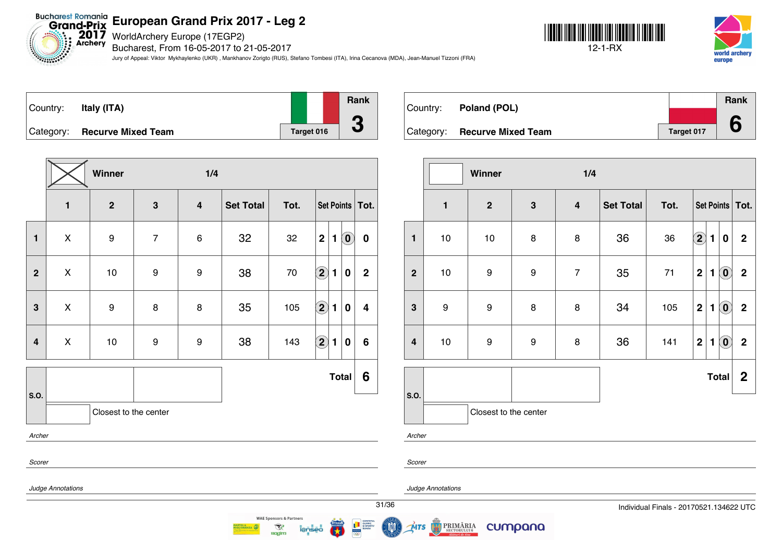Bucharest Romania<br>Grand-Prix European Grand Prix 20<br>Archery Bucharchery Europe (17EGP2) Bucharest, From 16-05-2017 to 21-05-2017

*<u>ANGLESS OF STREET</u>* 

Jury of Appeal: Viktor Mykhaylenko (UKR) , Mankhanov Zorigto (RUS), Stefano Tombesi (ITA), Irina Cecanova (MDA), Jean-Manuel Tizzoni (FRA)







|              |                    | Winner                |                  | 1/4                     |                  |      |                            |                 |                            |                         |
|--------------|--------------------|-----------------------|------------------|-------------------------|------------------|------|----------------------------|-----------------|----------------------------|-------------------------|
|              | $\mathbf{1}$       | $\mathbf{2}$          | $\mathbf{3}$     | $\overline{\mathbf{4}}$ | <b>Set Total</b> | Tot. |                            | Set Points Tot. |                            |                         |
| $\mathbf{1}$ | X                  | 9                     | $\overline{7}$   | 6                       | 32               | 32   | $\mathbf 2$                | 1               | $\left( \mathbf{0}\right)$ | $\pmb{0}$               |
| $\mathbf 2$  | X                  | 10                    | $\boldsymbol{9}$ | 9                       | 38               | 70   | $\Large 2$                 | $\blacksquare$  | $\pmb{0}$                  | $\mathbf 2$             |
| $\mathbf{3}$ | $\pmb{\mathsf{X}}$ | 9                     | 8                | 8                       | 35               | 105  | $\mathbf{2}$               | 1               | $\bf{0}$                   | $\overline{\mathbf{4}}$ |
| 4            | $\pmb{\times}$     | 10                    | 9                | 9                       | 38               | 143  | $\left( \mathbf{2}\right)$ | 1               | $\bf{0}$                   | $6\phantom{1}$          |
|              |                    |                       |                  |                         |                  |      |                            |                 | <b>Total</b>               | 6                       |
| S.O.         |                    | Closest to the center |                  |                         |                  |      |                            |                 |                            |                         |
| Archer       |                    |                       |                  |                         |                  |      |                            |                 |                            |                         |
| Scorer       |                    |                       |                  |                         |                  |      |                            |                 |                            |                         |
|              | Judge Annotations  |                       |                  |                         |                  |      |                            |                 |                            |                         |
|              |                    |                       |                  |                         |                  |      |                            |                 |                            | 31/3                    |

| Country: Poland (POL)        |            | Rank |
|------------------------------|------------|------|
|                              |            |      |
| Category: Recurve Mixed Team | Target 017 | 6    |

|                         |              | Winner                |                  | 1/4                     |                  |      |             |                |                                                |                   |
|-------------------------|--------------|-----------------------|------------------|-------------------------|------------------|------|-------------|----------------|------------------------------------------------|-------------------|
|                         | $\mathbf{1}$ | $\mathbf{2}$          | $\mathbf{3}$     | $\overline{\mathbf{4}}$ | <b>Set Total</b> | Tot. |             |                |                                                | Set Points   Tot. |
| $\mathbf{1}$            | 10           | $10$                  | 8                | 8                       | 36               | 36   | $\boxed{2}$ | 1              | 0                                              | $\mathbf 2$       |
| $\mathbf{2}$            | $10$         | $\boldsymbol{9}$      | 9                | $\overline{7}$          | 35               | $71$ | $\mathbf 2$ | 1              | $\left( \begin{matrix} 0 \end{matrix} \right)$ | $\mathbf 2$       |
| 3                       | 9            | $\boldsymbol{9}$      | 8                | 8                       | 34               | 105  | $\mathbf 2$ | $\mathbf{1}$   | $\left( \textbf{0} \right)$                    | $\mathbf 2$       |
| $\overline{\mathbf{4}}$ | 10           | $\boldsymbol{9}$      | $\boldsymbol{9}$ | $\bf8$                  | 36               | 141  | $\mathbf 2$ | $\blacksquare$ | $\left( \mathbf{0}\right)$                     | $\mathbf 2$       |
|                         |              |                       |                  |                         |                  |      |             |                | <b>Total</b>                                   | $\boldsymbol{2}$  |
| S.O.                    |              | Closest to the center |                  |                         |                  |      |             |                |                                                |                   |

*Archer*



MTS

*Judge Annotations*

PRIMĂRIA

cumpana



**WAE Sponsors & Partners** 

 $\mathcal{R}$ 

**Ragim**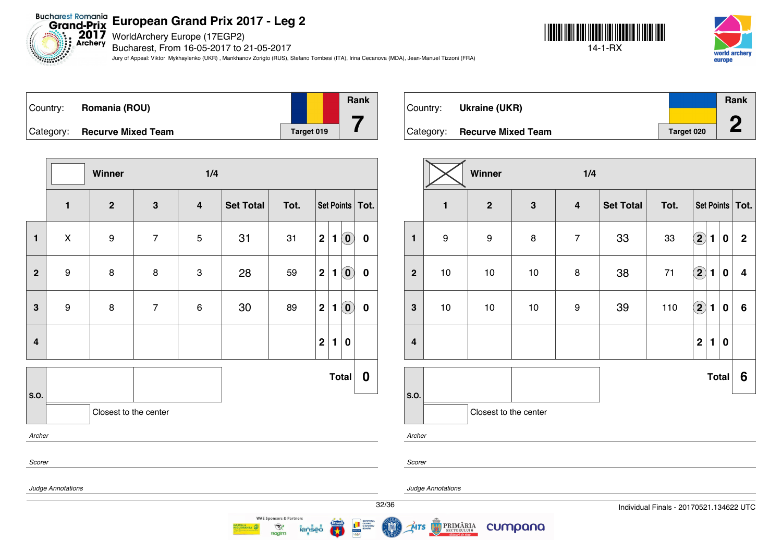$2017$ <br>Archery WorldArchery Europe (17EGP2)

Bucharest, From 16-05-2017 to 21-05-2017

Jury of Appeal: Viktor Mykhaylenko (UKR) , Mankhanov Zorigto (RUS), Stefano Tombesi (ITA), Irina Cecanova (MDA), Jean-Manuel Tizzoni (FRA)





| Country:  | Romania (ROU)             |            | <b>Rank</b> |
|-----------|---------------------------|------------|-------------|
| Category: | <b>Recurve Mixed Team</b> | Target 019 |             |

**Winner 1/4 1 2 3 4 Set Total Tot. Set Points Tot. 1** X 9 7 5 31 31 **2 1 0 0 2** 9 8 8 3 28 59 **2 1 0 0 3** 9 8 7 6 30 89 **2 1 0 0 4 2 1 0 S.O. Total 0** Closest to the center *Archer Scorer Judge Annotations*

| Country: | <b>Ukraine (UKR)</b>         |            | Rank |
|----------|------------------------------|------------|------|
|          |                              |            | Л    |
|          | Category: Recurve Mixed Team | Target 020 |      |

|                         |              | Winner                |              | 1/4                     |                  |      |                            |                |                  |                   |
|-------------------------|--------------|-----------------------|--------------|-------------------------|------------------|------|----------------------------|----------------|------------------|-------------------|
|                         | $\mathbf{1}$ | $\mathbf{2}$          | $\mathbf{3}$ | $\overline{\mathbf{4}}$ | <b>Set Total</b> | Tot. |                            |                |                  | Set Points   Tot. |
| $\mathbf{1}$            | 9            | 9                     | 8            | $\overline{7}$          | 33               | 33   | $\Large{\textbf{2}}$       | 1              | $\pmb{0}$        | $\mathbf 2$       |
| $\overline{\mathbf{2}}$ | $10$         | 10                    | $10$         | 8                       | 38               | $71$ | $\left( \mathbf{2}\right)$ | $\blacksquare$ | $\pmb{0}$        | 4                 |
| 3                       | 10           | $10$                  | $10$         | $\boldsymbol{9}$        | 39               | 110  | $\Large 2$                 | $\blacksquare$ | $\boldsymbol{0}$ | $\bf 6$           |
| $\overline{\mathbf{4}}$ |              |                       |              |                         |                  |      | $\mathbf 2$                | $\mathbf{1}$   | $\pmb{0}$        |                   |
|                         |              |                       |              |                         |                  |      |                            |                | <b>Total</b>     | 6                 |
| S.O.                    |              | Closest to the center |              |                         |                  |      |                            |                |                  |                   |

*Archer*

*Scorer*

**MTS** 

*Judge Annotations*

PRIMĂRIA

cumpana

32/36 Individual Finals - 20170521.134622 UTC



**WAE Sponsors & Partners** 

 $\mathcal{R}$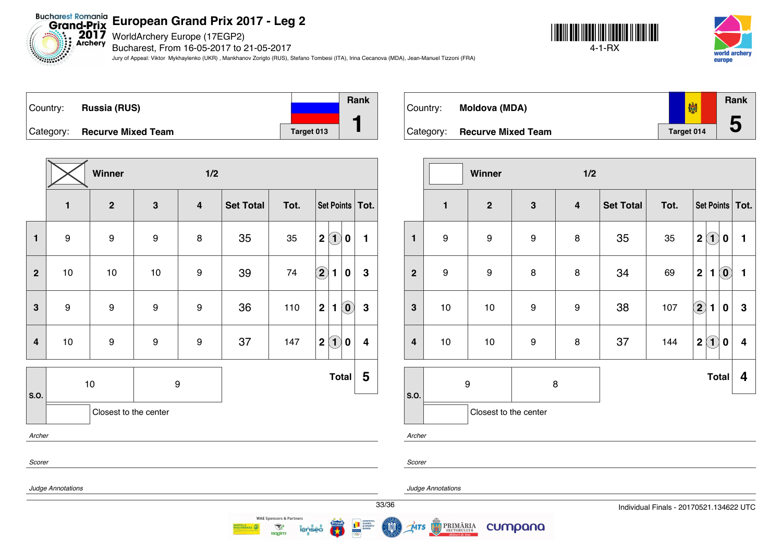$2017$ <br>Archery WorldArchery Europe (17EGP2)

*Electronics* 

Bucharest, From 16-05-2017 to 21-05-2017

Jury of Appeal: Viktor Mykhaylenko (UKR) , Mankhanov Zorigto (RUS), Stefano Tombesi (ITA), Irina Cecanova (MDA), Jean-Manuel Tizzoni (FRA)







|                         |                   | Winner                |                  | 1/2                     |                  |      |                                                           |                  |
|-------------------------|-------------------|-----------------------|------------------|-------------------------|------------------|------|-----------------------------------------------------------|------------------|
|                         | $\mathbf{1}$      | $\mathbf{2}$          | $\mathbf{3}$     | $\overline{\mathbf{4}}$ | <b>Set Total</b> | Tot. | Set Points Tot.                                           |                  |
| $\mathbf{1}$            | 9                 | 9                     | $\boldsymbol{9}$ | 8                       | 35               | 35   | $\mathbf{1}$<br>$\mathbf{2}$<br>$\bf{0}$                  | 1                |
| $\overline{2}$          | 10                | 10                    | 10               | 9                       | 39               | 74   | $\Large 2$<br>1<br>0                                      | $\mathbf 3$      |
| 3                       | $\boldsymbol{9}$  | 9                     | $\boldsymbol{9}$ | 9                       | 36               | 110  | $\mathbf 2$<br>$\left( \mathbf{0}\right)$<br>$\mathbf{1}$ | $\mathbf 3$      |
| $\overline{\mathbf{4}}$ | $10$              | $\boldsymbol{9}$      | $\boldsymbol{9}$ | 9                       | 37               | 147  | $\left( \mathbf{1}\right)$<br>$\mathbf 2$<br>0            | $\boldsymbol{4}$ |
| S.O.                    |                   | 10                    | $\boldsymbol{9}$ |                         |                  |      | <b>Total</b>                                              | 5                |
|                         |                   | Closest to the center |                  |                         |                  |      |                                                           |                  |
| Archer                  |                   |                       |                  |                         |                  |      |                                                           |                  |
| Scorer                  |                   |                       |                  |                         |                  |      |                                                           |                  |
|                         | Judge Annotations |                       |                  |                         |                  |      |                                                           |                  |

**Rank** 劌 Country: **Moldova (MDA) 5** Category: **Recurve Mixed Team Target 014** 

|                         |                       | Winner                |                  | 1/2                     |                  |      |                                                   |                |
|-------------------------|-----------------------|-----------------------|------------------|-------------------------|------------------|------|---------------------------------------------------|----------------|
|                         | $\mathbf{1}$          | $\boldsymbol{2}$      | $\mathbf{3}$     | $\overline{\mathbf{4}}$ | <b>Set Total</b> | Tot. | Set Points   Tot.                                 |                |
| $\mathbf{1}$            | 9                     | 9                     | $\boldsymbol{9}$ | 8                       | 35               | 35   | $\left( 1\right)$<br>$\overline{2}$<br>$\bf{0}$   | 1              |
| $\overline{2}$          | 9                     | $\boldsymbol{9}$      | 8                | 8                       | 34               | 69   | $\overline{2}$<br>$\left( \mathbf{0}\right)$<br>1 | $\blacksquare$ |
| $\mathbf{3}$            | $10$                  | $10$                  | $\boldsymbol{9}$ | 9                       | 38               | 107  | $\mathbf{Q}$<br>1<br>0                            | 3              |
| $\overline{\mathbf{4}}$ | 10                    | $10$                  | $\boldsymbol{9}$ | $\bf8$                  | 37               | 144  | $\mathbf{1}$<br>$\overline{2}$<br>0               | 4              |
|                         | $\boldsymbol{9}$<br>8 |                       |                  |                         |                  |      | <b>Total</b>                                      | 4              |
| S.O.                    |                       | Closest to the center |                  |                         |                  |      |                                                   |                |

*Archer*

*Scorer*

ÚTS

*Judge Annotations*

PRIMĂRIA

cumpana



 $\mathcal{R}$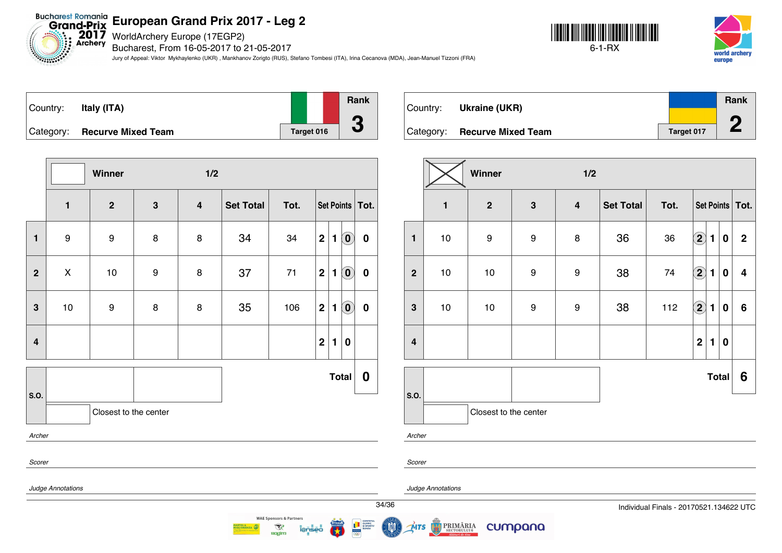WorldArchery Europe (17EGP2)

Bucharest, From 16-05-2017 to 21-05-2017

Jury of Appeal: Viktor Mykhaylenko (UKR) , Mankhanov Zorigto (RUS), Stefano Tombesi (ITA), Irina Cecanova (MDA), Jean-Manuel Tizzoni (FRA)





| Country:  | Italy (ITA)               |            | Rank |
|-----------|---------------------------|------------|------|
|           |                           |            |      |
| Category: | <b>Recurve Mixed Team</b> | Target 016 |      |

|                         |                   | Winner                |                  | 1/2                     |                  |      |                   |              |                            |                  |
|-------------------------|-------------------|-----------------------|------------------|-------------------------|------------------|------|-------------------|--------------|----------------------------|------------------|
|                         | $\mathbf{1}$      | $\overline{2}$        | $\mathbf{3}$     | $\overline{\mathbf{4}}$ | <b>Set Total</b> | Tot. | Set Points   Tot. |              |                            |                  |
| $\mathbf{1}$            | 9                 | 9                     | 8                | 8                       | 34               | 34   | $\mathbf 2$       | 1            | $\left( \mathbf{0}\right)$ | $\bf{0}$         |
| $\overline{2}$          | X                 | 10                    | $\boldsymbol{9}$ | 8                       | 37               | 71   | $\mathbf 2$       | $\mathbf{1}$ | $\left( \mathbf{0}\right)$ | $\bf{0}$         |
| 3                       | 10                | 9                     | 8                | 8                       | 35               | 106  | $\mathbf 2$       | $\mathbf{1}$ | $\left( \mathbf{0}\right)$ | $\bf{0}$         |
| $\overline{\mathbf{4}}$ |                   |                       |                  |                         |                  |      | $\mathbf 2$       | $\mathbf{1}$ | $\bf{0}$                   |                  |
|                         |                   |                       |                  |                         |                  |      |                   |              | <b>Total</b>               | $\boldsymbol{0}$ |
| S.O.                    |                   | Closest to the center |                  |                         |                  |      |                   |              |                            |                  |
| Archer                  |                   |                       |                  |                         |                  |      |                   |              |                            |                  |
| Scorer                  |                   |                       |                  |                         |                  |      |                   |              |                            |                  |
|                         | Judge Annotations |                       |                  |                         |                  |      |                   |              |                            |                  |
|                         |                   |                       |                  |                         |                  |      |                   |              |                            | 34               |

| Country: | Ukraine (UKR)                |            | Rank |
|----------|------------------------------|------------|------|
|          |                              |            | ⌒    |
|          | Category: Recurve Mixed Team | Target 017 |      |

|                         | Winner<br>1/2 |                       |                  |                         |                  |      |                            |              |                  |                   |  |  |
|-------------------------|---------------|-----------------------|------------------|-------------------------|------------------|------|----------------------------|--------------|------------------|-------------------|--|--|
|                         | $\mathbf{1}$  | $\mathbf{2}$          | $\mathbf{3}$     | $\overline{\mathbf{4}}$ | <b>Set Total</b> | Tot. |                            |              |                  | Set Points   Tot. |  |  |
| $\mathbf{1}$            | 10            | $\boldsymbol{9}$      | 9                | 8                       | 36               | 36   | $\left( \bf{2}\right)$     | $\mathbf{1}$ | $\boldsymbol{0}$ | $\mathbf 2$       |  |  |
| $\overline{2}$          | $10$          | $10$                  | $\boldsymbol{9}$ | 9                       | 38               | 74   | $\left( \mathbf{2}\right)$ | $\mathbf{1}$ | $\boldsymbol{0}$ | 4                 |  |  |
| $\mathbf{3}$            | $10$          | 10                    | $\boldsymbol{9}$ | $\boldsymbol{9}$        | 38               | 112  | $\boxed{2}$                | 1            | 0                | 6                 |  |  |
| $\overline{\mathbf{4}}$ |               |                       |                  |                         |                  |      | $\mathbf 2$                | $\mathbf{1}$ | $\bf{0}$         |                   |  |  |
|                         |               |                       |                  |                         |                  |      |                            |              | <b>Total</b>     | 6                 |  |  |
| S.O.                    |               | Closest to the center |                  |                         |                  |      |                            |              |                  |                   |  |  |

*Archer*

*Scorer*

MTS

*Judge Annotations*

**PRIMĂRIA** 

cumpana

**WAE Sponsors & Partners** 

 $\mathcal{R}$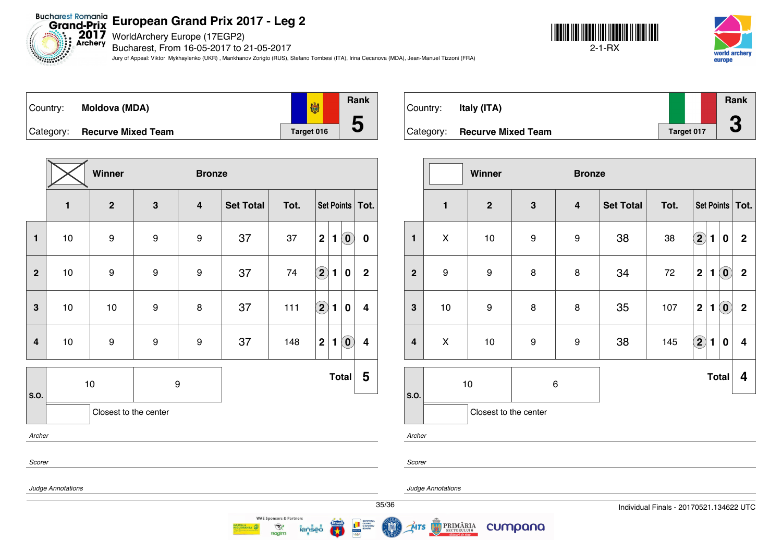Bucharest Romania<br>Grand-Prix **European Grand Prix 2017 - Leg 2**

2017 WorldArchery Europe (17EGP2)

*Electronics* 

Bucharest, From 16-05-2017 to 21-05-2017

Jury of Appeal: Viktor Mykhaylenko (UKR) , Mankhanov Zorigto (RUS), Stefano Tombesi (ITA), Irina Cecanova (MDA), Jean-Manuel Tizzoni (FRA)







|                         |              | Winner                |              | <b>Bronze</b>           |                  |      |                                     |                                                       |  |
|-------------------------|--------------|-----------------------|--------------|-------------------------|------------------|------|-------------------------------------|-------------------------------------------------------|--|
|                         | $\mathbf{1}$ | $\mathbf{2}$          | $\mathbf{3}$ | $\overline{\mathbf{4}}$ | <b>Set Total</b> | Tot. |                                     | Set Points   Tot.                                     |  |
| $\mathbf{1}$            | 10           | 9                     | 9            | 9                       | 37               | 37   | $\mathbf 2$<br>1                    | $\left( \widehat{\mathbf{0}}\right)$<br>$\bf{0}$      |  |
| $\overline{2}$          | $10$         | 9                     | 9            | 9                       | 37               | 74   | $\overline{\mathbf{2}}$<br>1        | $\overline{2}$<br>$\bf{0}$                            |  |
| $\mathbf{3}$            | 10           | 10                    | 9            | 8                       | 37               | 111  | $\left( 2\right)$<br>$\blacksquare$ | $\bf{0}$<br>$\overline{\mathbf{4}}$                   |  |
| $\overline{\mathbf{4}}$ | 10           | 9                     | 9            | 9                       | 37               | 148  | $\mathbf 2$<br>$\mathbf{1}$         | $\left( \mathbf{0}\right)$<br>$\overline{\mathbf{4}}$ |  |
| S.O.                    |              | $10$                  | 9            |                         |                  |      | <b>Total</b>                        | 5                                                     |  |
|                         |              | Closest to the center |              |                         |                  |      |                                     |                                                       |  |
| Archer                  |              |                       |              |                         |                  |      |                                     |                                                       |  |
| Scorer                  |              |                       |              |                         |                  |      |                                     |                                                       |  |
| Judge Annotations       |              |                       |              |                         |                  |      |                                     |                                                       |  |

**WAE Sponsors & Partners** 

 $\mathcal{R}$ 

**Ragim** 

| Country:  | Italy (ITA)               |            | Rank<br>m |  |
|-----------|---------------------------|------------|-----------|--|
| Category: | <b>Recurve Mixed Team</b> | Target 017 | u         |  |

|                         | Winner<br><b>Bronze</b> |                       |              |                         |                  |      |                                              |                            |                |  |  |  |  |
|-------------------------|-------------------------|-----------------------|--------------|-------------------------|------------------|------|----------------------------------------------|----------------------------|----------------|--|--|--|--|
|                         | $\mathbf{1}$            | $\boldsymbol{2}$      | $\mathbf{3}$ | $\overline{\mathbf{4}}$ | <b>Set Total</b> | Tot. | Set Points   Tot.                            |                            |                |  |  |  |  |
| $\blacksquare$          | X                       | 10                    | 9            | $\boldsymbol{9}$        | 38               | 38   | $\left( \mathbf{2}\right)$<br>$\blacksquare$ | $\bf{0}$                   | $\overline{2}$ |  |  |  |  |
| $\mathbf{2}$            | $\boldsymbol{9}$        | $\boldsymbol{9}$      | 8            | $\bf8$                  | 34               | 72   | $\mathbf 2$<br>$\mathbf{1}$                  | $\left( \mathbf{0}\right)$ | $\overline{2}$ |  |  |  |  |
| $\mathbf{3}$            | 10                      | $\boldsymbol{9}$      | 8            | 8                       | 35               | 107  | $\mathbf 2$<br>1                             | $\left( \mathbf{0}\right)$ | $\mathbf 2$    |  |  |  |  |
| $\overline{\mathbf{4}}$ | X                       | 10                    | 9            | $\boldsymbol{9}$        | 38               | 145  | $\bm{2}$<br>$\blacksquare$                   | $\pmb{0}$                  | 4              |  |  |  |  |
|                         | 10<br>6                 |                       |              |                         |                  |      |                                              | <b>Total</b>               | 4              |  |  |  |  |
| S.O.                    |                         | Closest to the center |              |                         |                  |      |                                              |                            |                |  |  |  |  |

*Archer*

ŃTS

*Scorer*

*Judge Annotations*

cumpana

PRIMĂRIA